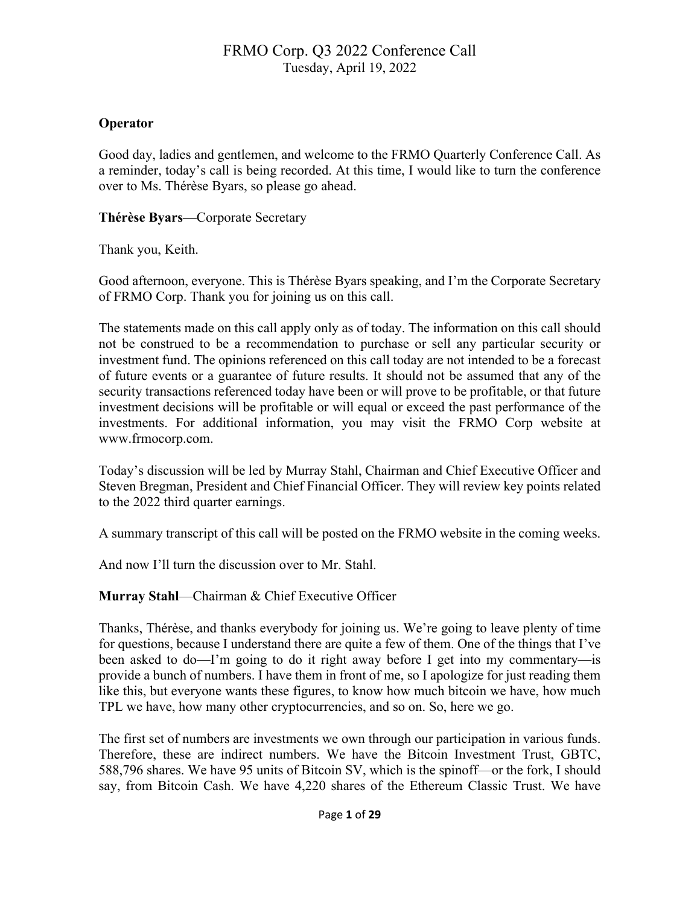### **Operator**

Good day, ladies and gentlemen, and welcome to the FRMO Quarterly Conference Call. As a reminder, today's call is being recorded. At this time, I would like to turn the conference over to Ms. Thérèse Byars, so please go ahead.

#### **Thérèse Byars**—Corporate Secretary

Thank you, Keith.

Good afternoon, everyone. This is Thérèse Byars speaking, and I'm the Corporate Secretary of FRMO Corp. Thank you for joining us on this call.

The statements made on this call apply only as of today. The information on this call should not be construed to be a recommendation to purchase or sell any particular security or investment fund. The opinions referenced on this call today are not intended to be a forecast of future events or a guarantee of future results. It should not be assumed that any of the security transactions referenced today have been or will prove to be profitable, or that future investment decisions will be profitable or will equal or exceed the past performance of the investments. For additional information, you may visit the FRMO Corp website at www.frmocorp.com.

Today's discussion will be led by Murray Stahl, Chairman and Chief Executive Officer and Steven Bregman, President and Chief Financial Officer. They will review key points related to the 2022 third quarter earnings.

A summary transcript of this call will be posted on the FRMO website in the coming weeks.

And now I'll turn the discussion over to Mr. Stahl.

**Murray Stahl**—Chairman & Chief Executive Officer

Thanks, Thérèse, and thanks everybody for joining us. We're going to leave plenty of time for questions, because I understand there are quite a few of them. One of the things that I've been asked to do—I'm going to do it right away before I get into my commentary—is provide a bunch of numbers. I have them in front of me, so I apologize for just reading them like this, but everyone wants these figures, to know how much bitcoin we have, how much TPL we have, how many other cryptocurrencies, and so on. So, here we go.

The first set of numbers are investments we own through our participation in various funds. Therefore, these are indirect numbers. We have the Bitcoin Investment Trust, GBTC, 588,796 shares. We have 95 units of Bitcoin SV, which is the spinoff—or the fork, I should say, from Bitcoin Cash. We have 4,220 shares of the Ethereum Classic Trust. We have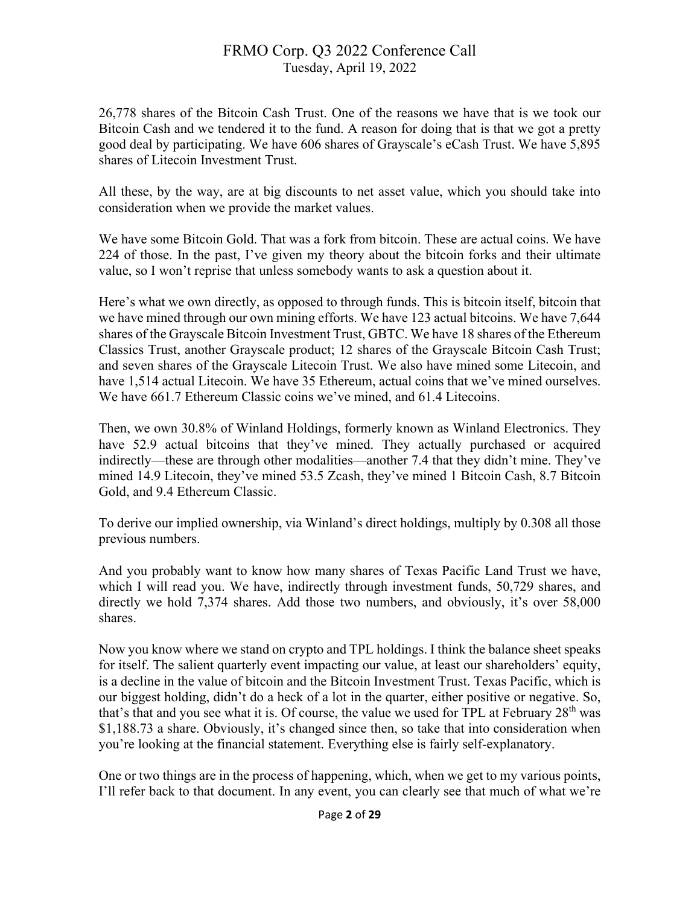26,778 shares of the Bitcoin Cash Trust. One of the reasons we have that is we took our Bitcoin Cash and we tendered it to the fund. A reason for doing that is that we got a pretty good deal by participating. We have 606 shares of Grayscale's eCash Trust. We have 5,895 shares of Litecoin Investment Trust.

All these, by the way, are at big discounts to net asset value, which you should take into consideration when we provide the market values.

We have some Bitcoin Gold. That was a fork from bitcoin. These are actual coins. We have 224 of those. In the past, I've given my theory about the bitcoin forks and their ultimate value, so I won't reprise that unless somebody wants to ask a question about it.

Here's what we own directly, as opposed to through funds. This is bitcoin itself, bitcoin that we have mined through our own mining efforts. We have 123 actual bitcoins. We have 7,644 shares of the Grayscale Bitcoin Investment Trust, GBTC. We have 18 shares of the Ethereum Classics Trust, another Grayscale product; 12 shares of the Grayscale Bitcoin Cash Trust; and seven shares of the Grayscale Litecoin Trust. We also have mined some Litecoin, and have 1,514 actual Litecoin. We have 35 Ethereum, actual coins that we've mined ourselves. We have 661.7 Ethereum Classic coins we've mined, and 61.4 Litecoins.

Then, we own 30.8% of Winland Holdings, formerly known as Winland Electronics. They have 52.9 actual bitcoins that they've mined. They actually purchased or acquired indirectly—these are through other modalities—another 7.4 that they didn't mine. They've mined 14.9 Litecoin, they've mined 53.5 Zcash, they've mined 1 Bitcoin Cash, 8.7 Bitcoin Gold, and 9.4 Ethereum Classic.

To derive our implied ownership, via Winland's direct holdings, multiply by 0.308 all those previous numbers.

And you probably want to know how many shares of Texas Pacific Land Trust we have, which I will read you. We have, indirectly through investment funds, 50,729 shares, and directly we hold 7,374 shares. Add those two numbers, and obviously, it's over 58,000 shares.

Now you know where we stand on crypto and TPL holdings. I think the balance sheet speaks for itself. The salient quarterly event impacting our value, at least our shareholders' equity, is a decline in the value of bitcoin and the Bitcoin Investment Trust. Texas Pacific, which is our biggest holding, didn't do a heck of a lot in the quarter, either positive or negative. So, that's that and you see what it is. Of course, the value we used for TPL at February 28<sup>th</sup> was \$1,188.73 a share. Obviously, it's changed since then, so take that into consideration when you're looking at the financial statement. Everything else is fairly self-explanatory.

One or two things are in the process of happening, which, when we get to my various points, I'll refer back to that document. In any event, you can clearly see that much of what we're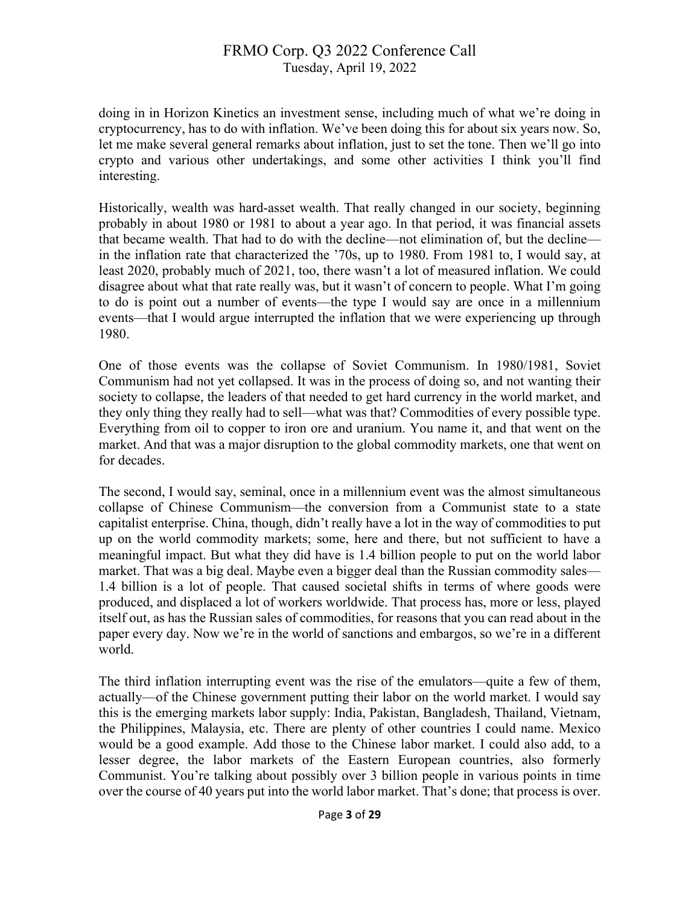doing in in Horizon Kinetics an investment sense, including much of what we're doing in cryptocurrency, has to do with inflation. We've been doing this for about six years now. So, let me make several general remarks about inflation, just to set the tone. Then we'll go into crypto and various other undertakings, and some other activities I think you'll find interesting.

Historically, wealth was hard-asset wealth. That really changed in our society, beginning probably in about 1980 or 1981 to about a year ago. In that period, it was financial assets that became wealth. That had to do with the decline—not elimination of, but the decline in the inflation rate that characterized the '70s, up to 1980. From 1981 to, I would say, at least 2020, probably much of 2021, too, there wasn't a lot of measured inflation. We could disagree about what that rate really was, but it wasn't of concern to people. What I'm going to do is point out a number of events—the type I would say are once in a millennium events—that I would argue interrupted the inflation that we were experiencing up through 1980.

One of those events was the collapse of Soviet Communism. In 1980/1981, Soviet Communism had not yet collapsed. It was in the process of doing so, and not wanting their society to collapse, the leaders of that needed to get hard currency in the world market, and they only thing they really had to sell—what was that? Commodities of every possible type. Everything from oil to copper to iron ore and uranium. You name it, and that went on the market. And that was a major disruption to the global commodity markets, one that went on for decades.

The second, I would say, seminal, once in a millennium event was the almost simultaneous collapse of Chinese Communism—the conversion from a Communist state to a state capitalist enterprise. China, though, didn't really have a lot in the way of commodities to put up on the world commodity markets; some, here and there, but not sufficient to have a meaningful impact. But what they did have is 1.4 billion people to put on the world labor market. That was a big deal. Maybe even a bigger deal than the Russian commodity sales— 1.4 billion is a lot of people. That caused societal shifts in terms of where goods were produced, and displaced a lot of workers worldwide. That process has, more or less, played itself out, as has the Russian sales of commodities, for reasons that you can read about in the paper every day. Now we're in the world of sanctions and embargos, so we're in a different world.

The third inflation interrupting event was the rise of the emulators—quite a few of them, actually—of the Chinese government putting their labor on the world market. I would say this is the emerging markets labor supply: India, Pakistan, Bangladesh, Thailand, Vietnam, the Philippines, Malaysia, etc. There are plenty of other countries I could name. Mexico would be a good example. Add those to the Chinese labor market. I could also add, to a lesser degree, the labor markets of the Eastern European countries, also formerly Communist. You're talking about possibly over 3 billion people in various points in time over the course of 40 years put into the world labor market. That's done; that process is over.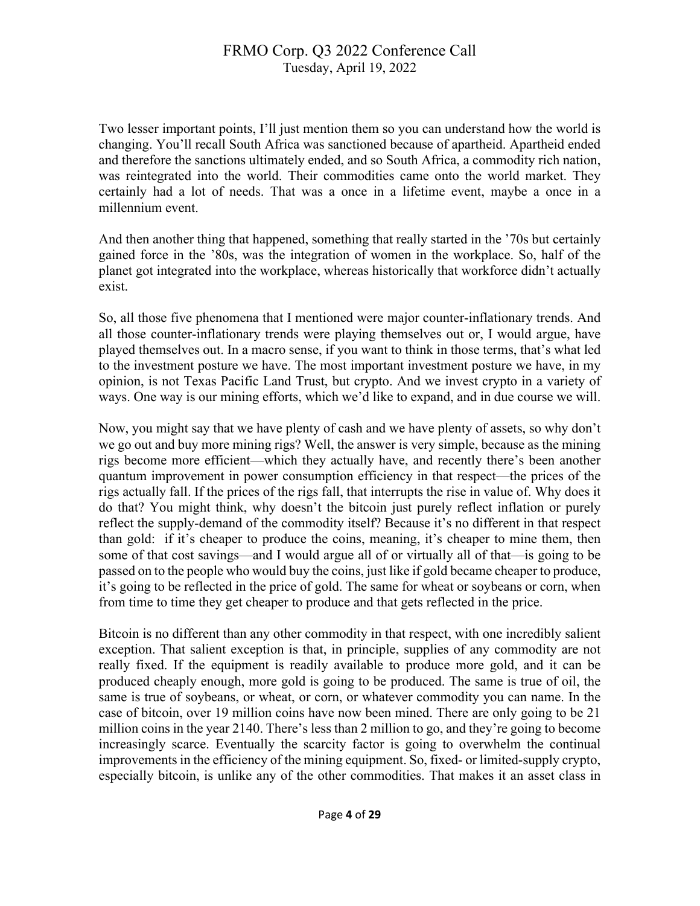Two lesser important points, I'll just mention them so you can understand how the world is changing. You'll recall South Africa was sanctioned because of apartheid. Apartheid ended and therefore the sanctions ultimately ended, and so South Africa, a commodity rich nation, was reintegrated into the world. Their commodities came onto the world market. They certainly had a lot of needs. That was a once in a lifetime event, maybe a once in a millennium event.

And then another thing that happened, something that really started in the '70s but certainly gained force in the '80s, was the integration of women in the workplace. So, half of the planet got integrated into the workplace, whereas historically that workforce didn't actually exist.

So, all those five phenomena that I mentioned were major counter-inflationary trends. And all those counter-inflationary trends were playing themselves out or, I would argue, have played themselves out. In a macro sense, if you want to think in those terms, that's what led to the investment posture we have. The most important investment posture we have, in my opinion, is not Texas Pacific Land Trust, but crypto. And we invest crypto in a variety of ways. One way is our mining efforts, which we'd like to expand, and in due course we will.

Now, you might say that we have plenty of cash and we have plenty of assets, so why don't we go out and buy more mining rigs? Well, the answer is very simple, because as the mining rigs become more efficient—which they actually have, and recently there's been another quantum improvement in power consumption efficiency in that respect—the prices of the rigs actually fall. If the prices of the rigs fall, that interrupts the rise in value of. Why does it do that? You might think, why doesn't the bitcoin just purely reflect inflation or purely reflect the supply-demand of the commodity itself? Because it's no different in that respect than gold: if it's cheaper to produce the coins, meaning, it's cheaper to mine them, then some of that cost savings—and I would argue all of or virtually all of that—is going to be passed on to the people who would buy the coins, just like if gold became cheaper to produce, it's going to be reflected in the price of gold. The same for wheat or soybeans or corn, when from time to time they get cheaper to produce and that gets reflected in the price.

Bitcoin is no different than any other commodity in that respect, with one incredibly salient exception. That salient exception is that, in principle, supplies of any commodity are not really fixed. If the equipment is readily available to produce more gold, and it can be produced cheaply enough, more gold is going to be produced. The same is true of oil, the same is true of soybeans, or wheat, or corn, or whatever commodity you can name. In the case of bitcoin, over 19 million coins have now been mined. There are only going to be 21 million coins in the year 2140. There's less than 2 million to go, and they're going to become increasingly scarce. Eventually the scarcity factor is going to overwhelm the continual improvements in the efficiency of the mining equipment. So, fixed- or limited-supply crypto, especially bitcoin, is unlike any of the other commodities. That makes it an asset class in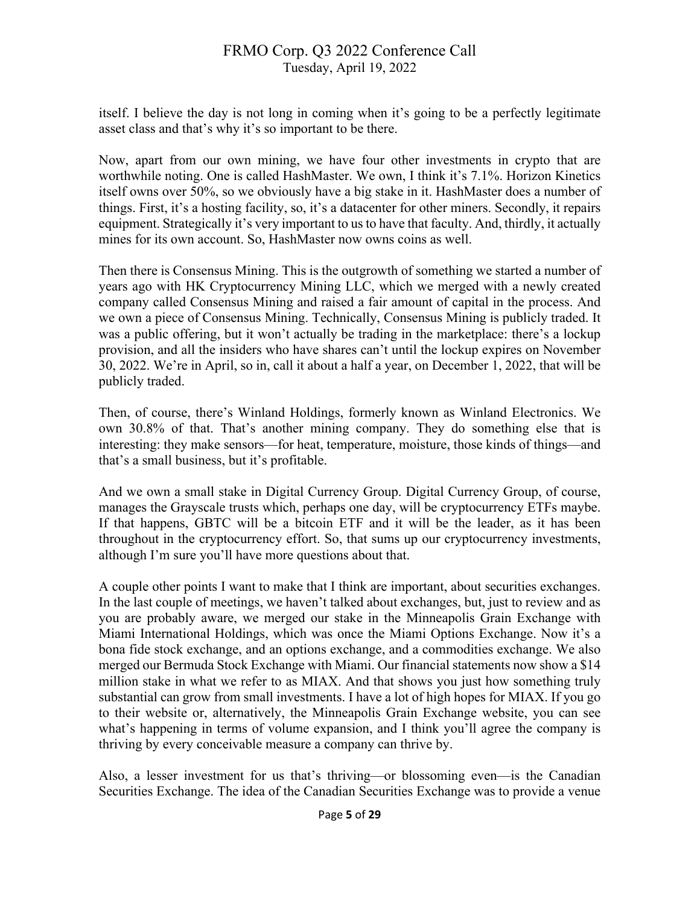itself. I believe the day is not long in coming when it's going to be a perfectly legitimate asset class and that's why it's so important to be there.

Now, apart from our own mining, we have four other investments in crypto that are worthwhile noting. One is called HashMaster. We own, I think it's 7.1%. Horizon Kinetics itself owns over 50%, so we obviously have a big stake in it. HashMaster does a number of things. First, it's a hosting facility, so, it's a datacenter for other miners. Secondly, it repairs equipment. Strategically it's very important to us to have that faculty. And, thirdly, it actually mines for its own account. So, HashMaster now owns coins as well.

Then there is Consensus Mining. This is the outgrowth of something we started a number of years ago with HK Cryptocurrency Mining LLC, which we merged with a newly created company called Consensus Mining and raised a fair amount of capital in the process. And we own a piece of Consensus Mining. Technically, Consensus Mining is publicly traded. It was a public offering, but it won't actually be trading in the marketplace: there's a lockup provision, and all the insiders who have shares can't until the lockup expires on November 30, 2022. We're in April, so in, call it about a half a year, on December 1, 2022, that will be publicly traded.

Then, of course, there's Winland Holdings, formerly known as Winland Electronics. We own 30.8% of that. That's another mining company. They do something else that is interesting: they make sensors—for heat, temperature, moisture, those kinds of things—and that's a small business, but it's profitable.

And we own a small stake in Digital Currency Group. Digital Currency Group, of course, manages the Grayscale trusts which, perhaps one day, will be cryptocurrency ETFs maybe. If that happens, GBTC will be a bitcoin ETF and it will be the leader, as it has been throughout in the cryptocurrency effort. So, that sums up our cryptocurrency investments, although I'm sure you'll have more questions about that.

A couple other points I want to make that I think are important, about securities exchanges. In the last couple of meetings, we haven't talked about exchanges, but, just to review and as you are probably aware, we merged our stake in the Minneapolis Grain Exchange with Miami International Holdings, which was once the Miami Options Exchange. Now it's a bona fide stock exchange, and an options exchange, and a commodities exchange. We also merged our Bermuda Stock Exchange with Miami. Our financial statements now show a \$14 million stake in what we refer to as MIAX. And that shows you just how something truly substantial can grow from small investments. I have a lot of high hopes for MIAX. If you go to their website or, alternatively, the Minneapolis Grain Exchange website, you can see what's happening in terms of volume expansion, and I think you'll agree the company is thriving by every conceivable measure a company can thrive by.

Also, a lesser investment for us that's thriving—or blossoming even—is the Canadian Securities Exchange. The idea of the Canadian Securities Exchange was to provide a venue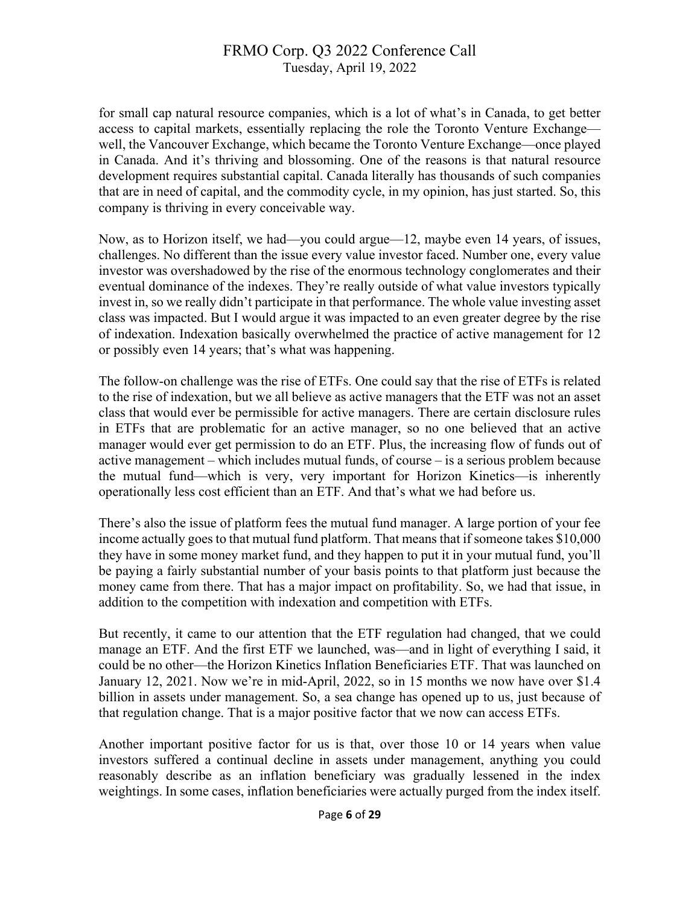for small cap natural resource companies, which is a lot of what's in Canada, to get better access to capital markets, essentially replacing the role the Toronto Venture Exchange well, the Vancouver Exchange, which became the Toronto Venture Exchange—once played in Canada. And it's thriving and blossoming. One of the reasons is that natural resource development requires substantial capital. Canada literally has thousands of such companies that are in need of capital, and the commodity cycle, in my opinion, has just started. So, this company is thriving in every conceivable way.

Now, as to Horizon itself, we had—you could argue—12, maybe even 14 years, of issues, challenges. No different than the issue every value investor faced. Number one, every value investor was overshadowed by the rise of the enormous technology conglomerates and their eventual dominance of the indexes. They're really outside of what value investors typically invest in, so we really didn't participate in that performance. The whole value investing asset class was impacted. But I would argue it was impacted to an even greater degree by the rise of indexation. Indexation basically overwhelmed the practice of active management for 12 or possibly even 14 years; that's what was happening.

The follow-on challenge was the rise of ETFs. One could say that the rise of ETFs is related to the rise of indexation, but we all believe as active managers that the ETF was not an asset class that would ever be permissible for active managers. There are certain disclosure rules in ETFs that are problematic for an active manager, so no one believed that an active manager would ever get permission to do an ETF. Plus, the increasing flow of funds out of active management – which includes mutual funds, of course – is a serious problem because the mutual fund—which is very, very important for Horizon Kinetics—is inherently operationally less cost efficient than an ETF. And that's what we had before us.

There's also the issue of platform fees the mutual fund manager. A large portion of your fee income actually goes to that mutual fund platform. That means that if someone takes \$10,000 they have in some money market fund, and they happen to put it in your mutual fund, you'll be paying a fairly substantial number of your basis points to that platform just because the money came from there. That has a major impact on profitability. So, we had that issue, in addition to the competition with indexation and competition with ETFs.

But recently, it came to our attention that the ETF regulation had changed, that we could manage an ETF. And the first ETF we launched, was—and in light of everything I said, it could be no other—the Horizon Kinetics Inflation Beneficiaries ETF. That was launched on January 12, 2021. Now we're in mid-April, 2022, so in 15 months we now have over \$1.4 billion in assets under management. So, a sea change has opened up to us, just because of that regulation change. That is a major positive factor that we now can access ETFs.

Another important positive factor for us is that, over those 10 or 14 years when value investors suffered a continual decline in assets under management, anything you could reasonably describe as an inflation beneficiary was gradually lessened in the index weightings. In some cases, inflation beneficiaries were actually purged from the index itself.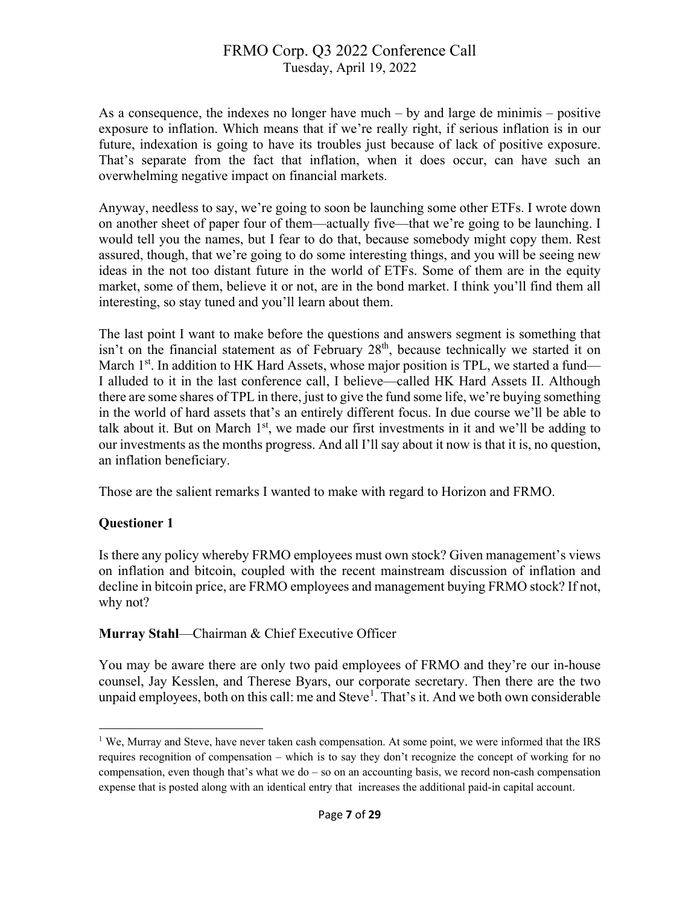As a consequence, the indexes no longer have much – by and large de minimis – positive exposure to inflation. Which means that if we're really right, if serious inflation is in our future, indexation is going to have its troubles just because of lack of positive exposure. That's separate from the fact that inflation, when it does occur, can have such an overwhelming negative impact on financial markets.

Anyway, needless to say, we're going to soon be launching some other ETFs. I wrote down on another sheet of paper four of them—actually five—that we're going to be launching. I would tell you the names, but I fear to do that, because somebody might copy them. Rest assured, though, that we're going to do some interesting things, and you will be seeing new ideas in the not too distant future in the world of ETFs. Some of them are in the equity market, some of them, believe it or not, are in the bond market. I think you'll find them all interesting, so stay tuned and you'll learn about them.

The last point I want to make before the questions and answers segment is something that isn't on the financial statement as of February 28<sup>th</sup>, because technically we started it on March  $1<sup>st</sup>$ . In addition to HK Hard Assets, whose major position is TPL, we started a fund— I alluded to it in the last conference call, I believe—called HK Hard Assets II. Although there are some shares of TPL in there, just to give the fund some life, we're buying something in the world of hard assets that's an entirely different focus. In due course we'll be able to talk about it. But on March  $1<sup>st</sup>$ , we made our first investments in it and we'll be adding to our investments as the months progress. And all I'll say about it now is that it is, no question, an inflation beneficiary.

Those are the salient remarks I wanted to make with regard to Horizon and FRMO.

## **Questioner 1**

Is there any policy whereby FRMO employees must own stock? Given management's views on inflation and bitcoin, coupled with the recent mainstream discussion of inflation and decline in bitcoin price, are FRMO employees and management buying FRMO stock? If not, why not?

## **Murray Stahl**—Chairman & Chief Executive Officer

You may be aware there are only two paid employees of FRMO and they're our in-house counsel, Jay Kesslen, and Therese Byars, our corporate secretary. Then there are the two unpaid employees, both on this call: me and Steve<sup>[1](#page-6-0)</sup>. That's it. And we both own considerable

<span id="page-6-0"></span><sup>&</sup>lt;sup>1</sup> We, Murray and Steve, have never taken cash compensation. At some point, we were informed that the IRS requires recognition of compensation – which is to say they don't recognize the concept of working for no compensation, even though that's what we do – so on an accounting basis, we record non-cash compensation expense that is posted along with an identical entry that increases the additional paid-in capital account.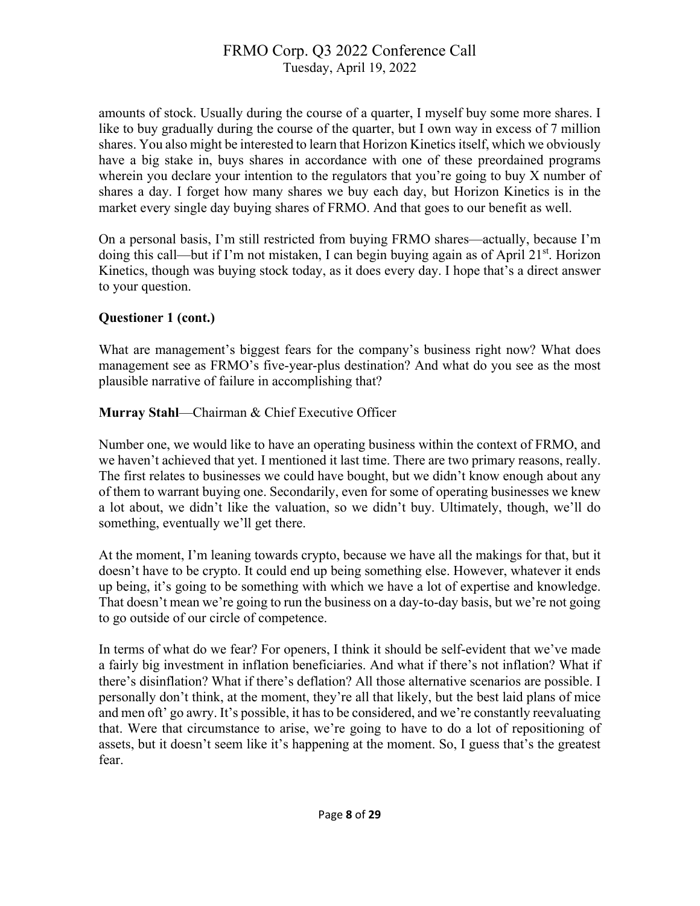amounts of stock. Usually during the course of a quarter, I myself buy some more shares. I like to buy gradually during the course of the quarter, but I own way in excess of 7 million shares. You also might be interested to learn that Horizon Kinetics itself, which we obviously have a big stake in, buys shares in accordance with one of these preordained programs wherein you declare your intention to the regulators that you're going to buy X number of shares a day. I forget how many shares we buy each day, but Horizon Kinetics is in the market every single day buying shares of FRMO. And that goes to our benefit as well.

On a personal basis, I'm still restricted from buying FRMO shares—actually, because I'm doing this call—but if I'm not mistaken, I can begin buying again as of April 21<sup>st</sup>. Horizon Kinetics, though was buying stock today, as it does every day. I hope that's a direct answer to your question.

## **Questioner 1 (cont.)**

What are management's biggest fears for the company's business right now? What does management see as FRMO's five-year-plus destination? And what do you see as the most plausible narrative of failure in accomplishing that?

**Murray Stahl**—Chairman & Chief Executive Officer

Number one, we would like to have an operating business within the context of FRMO, and we haven't achieved that yet. I mentioned it last time. There are two primary reasons, really. The first relates to businesses we could have bought, but we didn't know enough about any of them to warrant buying one. Secondarily, even for some of operating businesses we knew a lot about, we didn't like the valuation, so we didn't buy. Ultimately, though, we'll do something, eventually we'll get there.

At the moment, I'm leaning towards crypto, because we have all the makings for that, but it doesn't have to be crypto. It could end up being something else. However, whatever it ends up being, it's going to be something with which we have a lot of expertise and knowledge. That doesn't mean we're going to run the business on a day-to-day basis, but we're not going to go outside of our circle of competence.

In terms of what do we fear? For openers, I think it should be self-evident that we've made a fairly big investment in inflation beneficiaries. And what if there's not inflation? What if there's disinflation? What if there's deflation? All those alternative scenarios are possible. I personally don't think, at the moment, they're all that likely, but the best laid plans of mice and men oft' go awry. It's possible, it has to be considered, and we're constantly reevaluating that. Were that circumstance to arise, we're going to have to do a lot of repositioning of assets, but it doesn't seem like it's happening at the moment. So, I guess that's the greatest fear.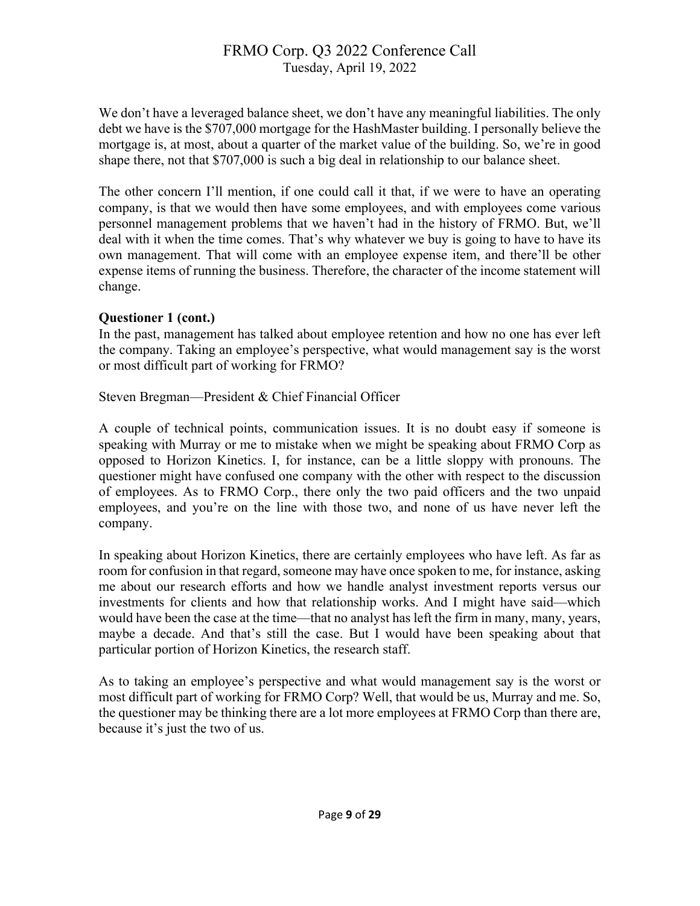We don't have a leveraged balance sheet, we don't have any meaningful liabilities. The only debt we have is the \$707,000 mortgage for the HashMaster building. I personally believe the mortgage is, at most, about a quarter of the market value of the building. So, we're in good shape there, not that \$707,000 is such a big deal in relationship to our balance sheet.

The other concern I'll mention, if one could call it that, if we were to have an operating company, is that we would then have some employees, and with employees come various personnel management problems that we haven't had in the history of FRMO. But, we'll deal with it when the time comes. That's why whatever we buy is going to have to have its own management. That will come with an employee expense item, and there'll be other expense items of running the business. Therefore, the character of the income statement will change.

#### **Questioner 1 (cont.)**

In the past, management has talked about employee retention and how no one has ever left the company. Taking an employee's perspective, what would management say is the worst or most difficult part of working for FRMO?

Steven Bregman—President & Chief Financial Officer

A couple of technical points, communication issues. It is no doubt easy if someone is speaking with Murray or me to mistake when we might be speaking about FRMO Corp as opposed to Horizon Kinetics. I, for instance, can be a little sloppy with pronouns. The questioner might have confused one company with the other with respect to the discussion of employees. As to FRMO Corp., there only the two paid officers and the two unpaid employees, and you're on the line with those two, and none of us have never left the company.

In speaking about Horizon Kinetics, there are certainly employees who have left. As far as room for confusion in that regard, someone may have once spoken to me, for instance, asking me about our research efforts and how we handle analyst investment reports versus our investments for clients and how that relationship works. And I might have said—which would have been the case at the time—that no analyst has left the firm in many, many, years, maybe a decade. And that's still the case. But I would have been speaking about that particular portion of Horizon Kinetics, the research staff.

As to taking an employee's perspective and what would management say is the worst or most difficult part of working for FRMO Corp? Well, that would be us, Murray and me. So, the questioner may be thinking there are a lot more employees at FRMO Corp than there are, because it's just the two of us.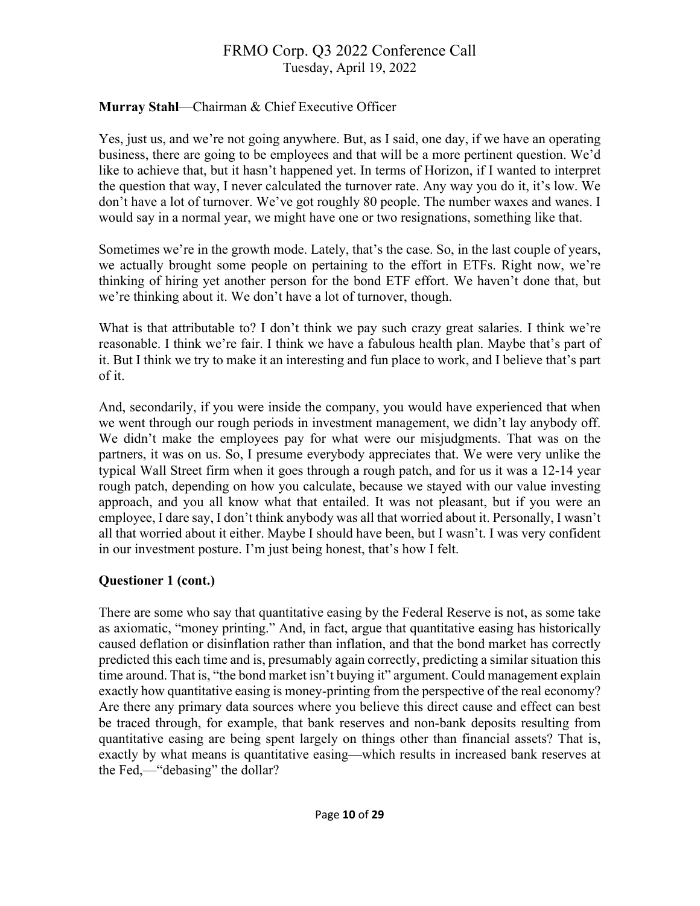## **Murray Stahl**—Chairman & Chief Executive Officer

Yes, just us, and we're not going anywhere. But, as I said, one day, if we have an operating business, there are going to be employees and that will be a more pertinent question. We'd like to achieve that, but it hasn't happened yet. In terms of Horizon, if I wanted to interpret the question that way, I never calculated the turnover rate. Any way you do it, it's low. We don't have a lot of turnover. We've got roughly 80 people. The number waxes and wanes. I would say in a normal year, we might have one or two resignations, something like that.

Sometimes we're in the growth mode. Lately, that's the case. So, in the last couple of years, we actually brought some people on pertaining to the effort in ETFs. Right now, we're thinking of hiring yet another person for the bond ETF effort. We haven't done that, but we're thinking about it. We don't have a lot of turnover, though.

What is that attributable to? I don't think we pay such crazy great salaries. I think we're reasonable. I think we're fair. I think we have a fabulous health plan. Maybe that's part of it. But I think we try to make it an interesting and fun place to work, and I believe that's part of it.

And, secondarily, if you were inside the company, you would have experienced that when we went through our rough periods in investment management, we didn't lay anybody off. We didn't make the employees pay for what were our misjudgments. That was on the partners, it was on us. So, I presume everybody appreciates that. We were very unlike the typical Wall Street firm when it goes through a rough patch, and for us it was a 12-14 year rough patch, depending on how you calculate, because we stayed with our value investing approach, and you all know what that entailed. It was not pleasant, but if you were an employee, I dare say, I don't think anybody was all that worried about it. Personally, I wasn't all that worried about it either. Maybe I should have been, but I wasn't. I was very confident in our investment posture. I'm just being honest, that's how I felt.

## **Questioner 1 (cont.)**

There are some who say that quantitative easing by the Federal Reserve is not, as some take as axiomatic, "money printing." And, in fact, argue that quantitative easing has historically caused deflation or disinflation rather than inflation, and that the bond market has correctly predicted this each time and is, presumably again correctly, predicting a similar situation this time around. That is, "the bond market isn't buying it" argument. Could management explain exactly how quantitative easing is money-printing from the perspective of the real economy? Are there any primary data sources where you believe this direct cause and effect can best be traced through, for example, that bank reserves and non-bank deposits resulting from quantitative easing are being spent largely on things other than financial assets? That is, exactly by what means is quantitative easing—which results in increased bank reserves at the Fed,—"debasing" the dollar?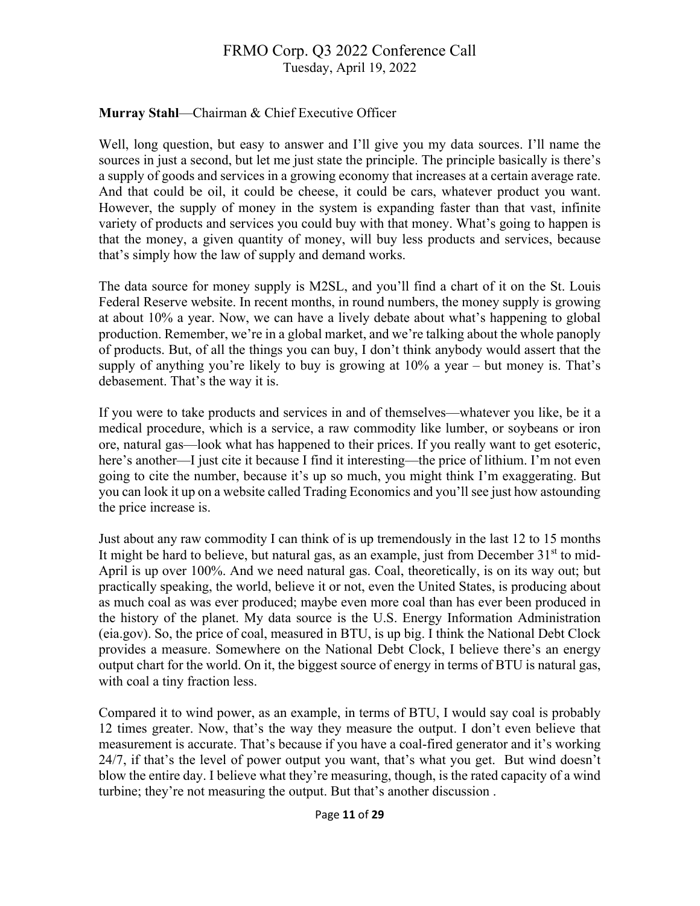### **Murray Stahl**—Chairman & Chief Executive Officer

Well, long question, but easy to answer and I'll give you my data sources. I'll name the sources in just a second, but let me just state the principle. The principle basically is there's a supply of goods and services in a growing economy that increases at a certain average rate. And that could be oil, it could be cheese, it could be cars, whatever product you want. However, the supply of money in the system is expanding faster than that vast, infinite variety of products and services you could buy with that money. What's going to happen is that the money, a given quantity of money, will buy less products and services, because that's simply how the law of supply and demand works.

The data source for money supply is M2SL, and you'll find a chart of it on the St. Louis Federal Reserve website. In recent months, in round numbers, the money supply is growing at about 10% a year. Now, we can have a lively debate about what's happening to global production. Remember, we're in a global market, and we're talking about the whole panoply of products. But, of all the things you can buy, I don't think anybody would assert that the supply of anything you're likely to buy is growing at  $10\%$  a year – but money is. That's debasement. That's the way it is.

If you were to take products and services in and of themselves—whatever you like, be it a medical procedure, which is a service, a raw commodity like lumber, or soybeans or iron ore, natural gas—look what has happened to their prices. If you really want to get esoteric, here's another—I just cite it because I find it interesting—the price of lithium. I'm not even going to cite the number, because it's up so much, you might think I'm exaggerating. But you can look it up on a website called Trading Economics and you'll see just how astounding the price increase is.

Just about any raw commodity I can think of is up tremendously in the last 12 to 15 months It might be hard to believe, but natural gas, as an example, just from December  $31<sup>st</sup>$  to mid-April is up over 100%. And we need natural gas. Coal, theoretically, is on its way out; but practically speaking, the world, believe it or not, even the United States, is producing about as much coal as was ever produced; maybe even more coal than has ever been produced in the history of the planet. My data source is the U.S. Energy Information Administration (eia.gov). So, the price of coal, measured in BTU, is up big. I think the National Debt Clock provides a measure. Somewhere on the National Debt Clock, I believe there's an energy output chart for the world. On it, the biggest source of energy in terms of BTU is natural gas, with coal a tiny fraction less.

Compared it to wind power, as an example, in terms of BTU, I would say coal is probably 12 times greater. Now, that's the way they measure the output. I don't even believe that measurement is accurate. That's because if you have a coal-fired generator and it's working 24/7, if that's the level of power output you want, that's what you get. But wind doesn't blow the entire day. I believe what they're measuring, though, is the rated capacity of a wind turbine; they're not measuring the output. But that's another discussion .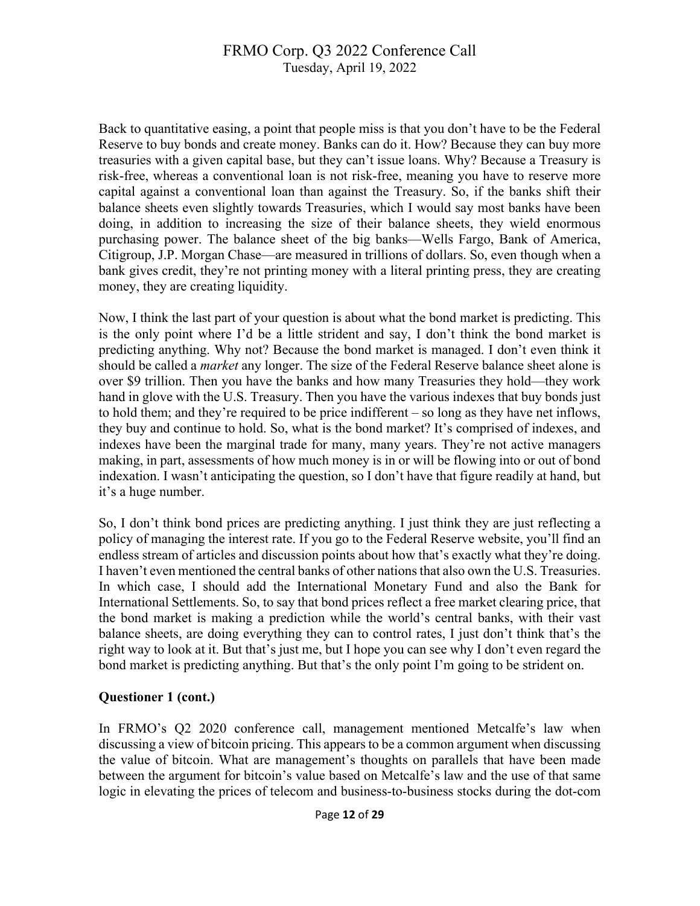Back to quantitative easing, a point that people miss is that you don't have to be the Federal Reserve to buy bonds and create money. Banks can do it. How? Because they can buy more treasuries with a given capital base, but they can't issue loans. Why? Because a Treasury is risk-free, whereas a conventional loan is not risk-free, meaning you have to reserve more capital against a conventional loan than against the Treasury. So, if the banks shift their balance sheets even slightly towards Treasuries, which I would say most banks have been doing, in addition to increasing the size of their balance sheets, they wield enormous purchasing power. The balance sheet of the big banks—Wells Fargo, Bank of America, Citigroup, J.P. Morgan Chase—are measured in trillions of dollars. So, even though when a bank gives credit, they're not printing money with a literal printing press, they are creating money, they are creating liquidity.

Now, I think the last part of your question is about what the bond market is predicting. This is the only point where I'd be a little strident and say, I don't think the bond market is predicting anything. Why not? Because the bond market is managed. I don't even think it should be called a *market* any longer. The size of the Federal Reserve balance sheet alone is over \$9 trillion. Then you have the banks and how many Treasuries they hold—they work hand in glove with the U.S. Treasury. Then you have the various indexes that buy bonds just to hold them; and they're required to be price indifferent – so long as they have net inflows, they buy and continue to hold. So, what is the bond market? It's comprised of indexes, and indexes have been the marginal trade for many, many years. They're not active managers making, in part, assessments of how much money is in or will be flowing into or out of bond indexation. I wasn't anticipating the question, so I don't have that figure readily at hand, but it's a huge number.

So, I don't think bond prices are predicting anything. I just think they are just reflecting a policy of managing the interest rate. If you go to the Federal Reserve website, you'll find an endless stream of articles and discussion points about how that's exactly what they're doing. I haven't even mentioned the central banks of other nations that also own the U.S. Treasuries. In which case, I should add the International Monetary Fund and also the Bank for International Settlements. So, to say that bond prices reflect a free market clearing price, that the bond market is making a prediction while the world's central banks, with their vast balance sheets, are doing everything they can to control rates, I just don't think that's the right way to look at it. But that's just me, but I hope you can see why I don't even regard the bond market is predicting anything. But that's the only point I'm going to be strident on.

#### **Questioner 1 (cont.)**

In FRMO's Q2 2020 conference call, management mentioned Metcalfe's law when discussing a view of bitcoin pricing. This appears to be a common argument when discussing the value of bitcoin. What are management's thoughts on parallels that have been made between the argument for bitcoin's value based on Metcalfe's law and the use of that same logic in elevating the prices of telecom and business-to-business stocks during the dot-com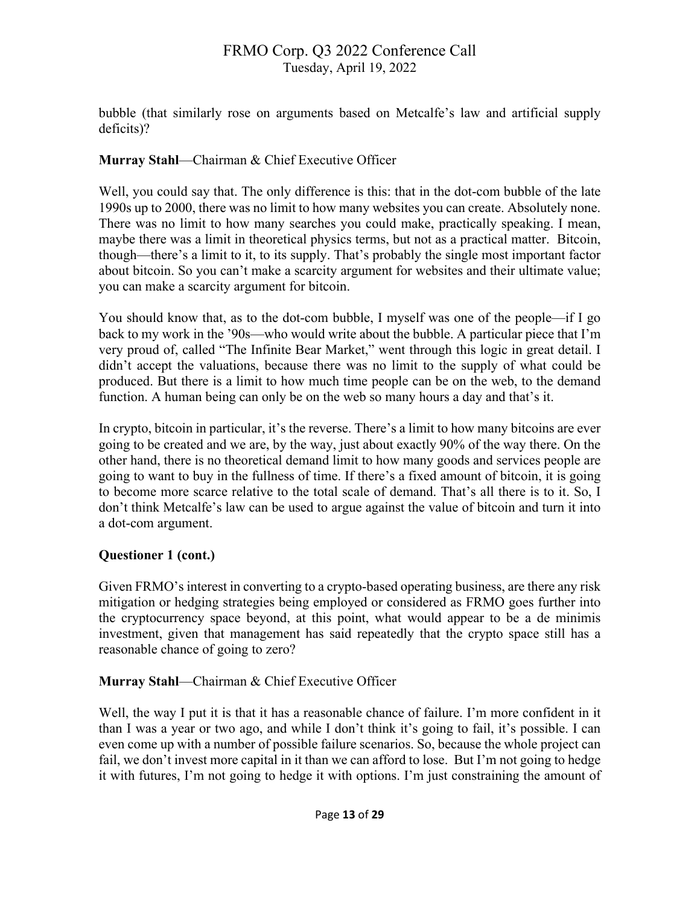bubble (that similarly rose on arguments based on Metcalfe's law and artificial supply deficits)?

## **Murray Stahl**—Chairman & Chief Executive Officer

Well, you could say that. The only difference is this: that in the dot-com bubble of the late 1990s up to 2000, there was no limit to how many websites you can create. Absolutely none. There was no limit to how many searches you could make, practically speaking. I mean, maybe there was a limit in theoretical physics terms, but not as a practical matter. Bitcoin, though—there's a limit to it, to its supply. That's probably the single most important factor about bitcoin. So you can't make a scarcity argument for websites and their ultimate value; you can make a scarcity argument for bitcoin.

You should know that, as to the dot-com bubble, I myself was one of the people—if I go back to my work in the '90s—who would write about the bubble. A particular piece that I'm very proud of, called "The Infinite Bear Market," went through this logic in great detail. I didn't accept the valuations, because there was no limit to the supply of what could be produced. But there is a limit to how much time people can be on the web, to the demand function. A human being can only be on the web so many hours a day and that's it.

In crypto, bitcoin in particular, it's the reverse. There's a limit to how many bitcoins are ever going to be created and we are, by the way, just about exactly 90% of the way there. On the other hand, there is no theoretical demand limit to how many goods and services people are going to want to buy in the fullness of time. If there's a fixed amount of bitcoin, it is going to become more scarce relative to the total scale of demand. That's all there is to it. So, I don't think Metcalfe's law can be used to argue against the value of bitcoin and turn it into a dot-com argument.

## **Questioner 1 (cont.)**

Given FRMO's interest in converting to a crypto-based operating business, are there any risk mitigation or hedging strategies being employed or considered as FRMO goes further into the cryptocurrency space beyond, at this point, what would appear to be a de minimis investment, given that management has said repeatedly that the crypto space still has a reasonable chance of going to zero?

## **Murray Stahl**—Chairman & Chief Executive Officer

Well, the way I put it is that it has a reasonable chance of failure. I'm more confident in it than I was a year or two ago, and while I don't think it's going to fail, it's possible. I can even come up with a number of possible failure scenarios. So, because the whole project can fail, we don't invest more capital in it than we can afford to lose. But I'm not going to hedge it with futures, I'm not going to hedge it with options. I'm just constraining the amount of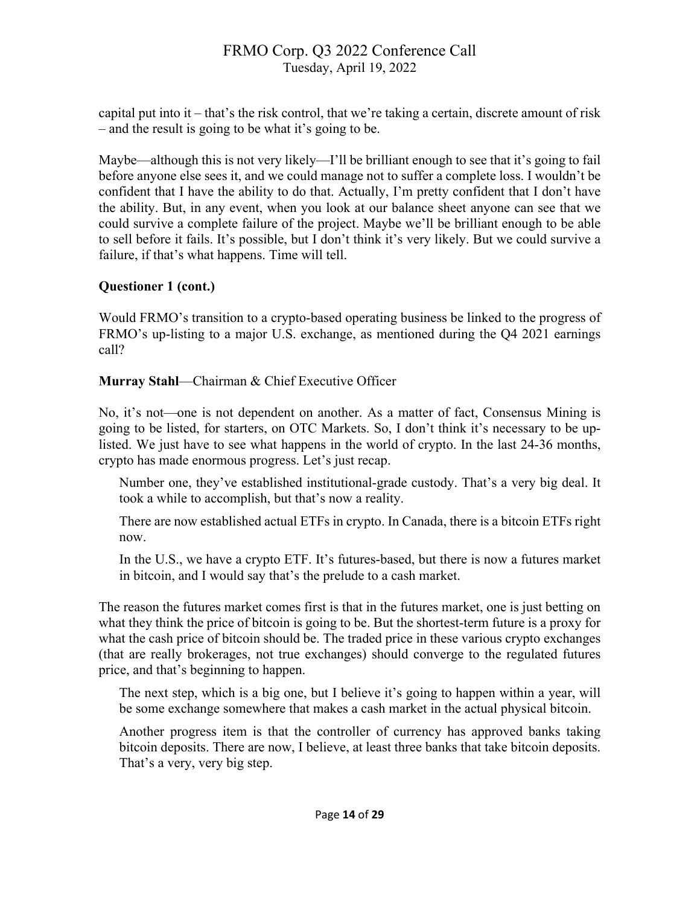capital put into it – that's the risk control, that we're taking a certain, discrete amount of risk – and the result is going to be what it's going to be.

Maybe—although this is not very likely—I'll be brilliant enough to see that it's going to fail before anyone else sees it, and we could manage not to suffer a complete loss. I wouldn't be confident that I have the ability to do that. Actually, I'm pretty confident that I don't have the ability. But, in any event, when you look at our balance sheet anyone can see that we could survive a complete failure of the project. Maybe we'll be brilliant enough to be able to sell before it fails. It's possible, but I don't think it's very likely. But we could survive a failure, if that's what happens. Time will tell.

## **Questioner 1 (cont.)**

Would FRMO's transition to a crypto-based operating business be linked to the progress of FRMO's up-listing to a major U.S. exchange, as mentioned during the Q4 2021 earnings call?

**Murray Stahl**—Chairman & Chief Executive Officer

No, it's not—one is not dependent on another. As a matter of fact, Consensus Mining is going to be listed, for starters, on OTC Markets. So, I don't think it's necessary to be uplisted. We just have to see what happens in the world of crypto. In the last 24-36 months, crypto has made enormous progress. Let's just recap.

Number one, they've established institutional-grade custody. That's a very big deal. It took a while to accomplish, but that's now a reality.

There are now established actual ETFs in crypto. In Canada, there is a bitcoin ETFs right now.

In the U.S., we have a crypto ETF. It's futures-based, but there is now a futures market in bitcoin, and I would say that's the prelude to a cash market.

The reason the futures market comes first is that in the futures market, one is just betting on what they think the price of bitcoin is going to be. But the shortest-term future is a proxy for what the cash price of bitcoin should be. The traded price in these various crypto exchanges (that are really brokerages, not true exchanges) should converge to the regulated futures price, and that's beginning to happen.

The next step, which is a big one, but I believe it's going to happen within a year, will be some exchange somewhere that makes a cash market in the actual physical bitcoin.

Another progress item is that the controller of currency has approved banks taking bitcoin deposits. There are now, I believe, at least three banks that take bitcoin deposits. That's a very, very big step.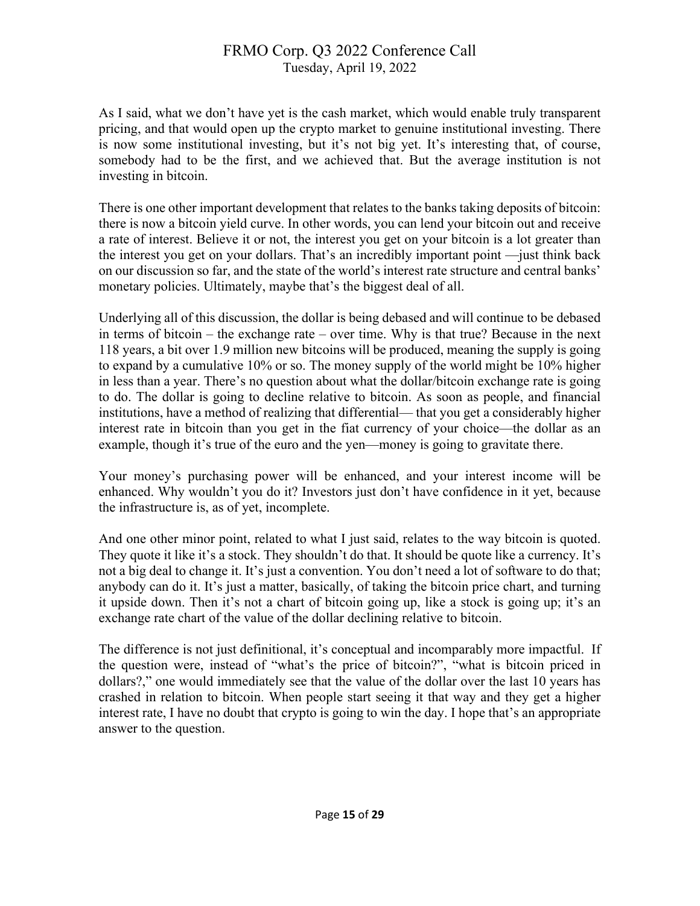As I said, what we don't have yet is the cash market, which would enable truly transparent pricing, and that would open up the crypto market to genuine institutional investing. There is now some institutional investing, but it's not big yet. It's interesting that, of course, somebody had to be the first, and we achieved that. But the average institution is not investing in bitcoin.

There is one other important development that relates to the banks taking deposits of bitcoin: there is now a bitcoin yield curve. In other words, you can lend your bitcoin out and receive a rate of interest. Believe it or not, the interest you get on your bitcoin is a lot greater than the interest you get on your dollars. That's an incredibly important point —just think back on our discussion so far, and the state of the world's interest rate structure and central banks' monetary policies. Ultimately, maybe that's the biggest deal of all.

Underlying all of this discussion, the dollar is being debased and will continue to be debased in terms of bitcoin – the exchange rate – over time. Why is that true? Because in the next 118 years, a bit over 1.9 million new bitcoins will be produced, meaning the supply is going to expand by a cumulative 10% or so. The money supply of the world might be 10% higher in less than a year. There's no question about what the dollar/bitcoin exchange rate is going to do. The dollar is going to decline relative to bitcoin. As soon as people, and financial institutions, have a method of realizing that differential— that you get a considerably higher interest rate in bitcoin than you get in the fiat currency of your choice—the dollar as an example, though it's true of the euro and the yen—money is going to gravitate there.

Your money's purchasing power will be enhanced, and your interest income will be enhanced. Why wouldn't you do it? Investors just don't have confidence in it yet, because the infrastructure is, as of yet, incomplete.

And one other minor point, related to what I just said, relates to the way bitcoin is quoted. They quote it like it's a stock. They shouldn't do that. It should be quote like a currency. It's not a big deal to change it. It's just a convention. You don't need a lot of software to do that; anybody can do it. It's just a matter, basically, of taking the bitcoin price chart, and turning it upside down. Then it's not a chart of bitcoin going up, like a stock is going up; it's an exchange rate chart of the value of the dollar declining relative to bitcoin.

The difference is not just definitional, it's conceptual and incomparably more impactful. If the question were, instead of "what's the price of bitcoin?", "what is bitcoin priced in dollars?," one would immediately see that the value of the dollar over the last 10 years has crashed in relation to bitcoin. When people start seeing it that way and they get a higher interest rate, I have no doubt that crypto is going to win the day. I hope that's an appropriate answer to the question.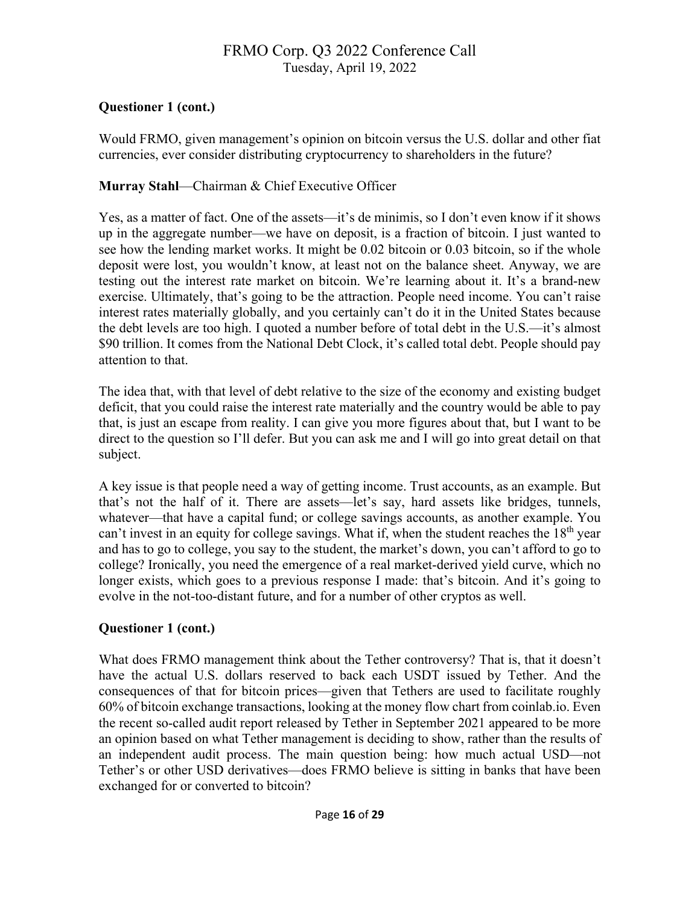## **Questioner 1 (cont.)**

Would FRMO, given management's opinion on bitcoin versus the U.S. dollar and other fiat currencies, ever consider distributing cryptocurrency to shareholders in the future?

## **Murray Stahl**—Chairman & Chief Executive Officer

Yes, as a matter of fact. One of the assets—it's de minimis, so I don't even know if it shows up in the aggregate number—we have on deposit, is a fraction of bitcoin. I just wanted to see how the lending market works. It might be 0.02 bitcoin or 0.03 bitcoin, so if the whole deposit were lost, you wouldn't know, at least not on the balance sheet. Anyway, we are testing out the interest rate market on bitcoin. We're learning about it. It's a brand-new exercise. Ultimately, that's going to be the attraction. People need income. You can't raise interest rates materially globally, and you certainly can't do it in the United States because the debt levels are too high. I quoted a number before of total debt in the U.S.—it's almost \$90 trillion. It comes from the National Debt Clock, it's called total debt. People should pay attention to that.

The idea that, with that level of debt relative to the size of the economy and existing budget deficit, that you could raise the interest rate materially and the country would be able to pay that, is just an escape from reality. I can give you more figures about that, but I want to be direct to the question so I'll defer. But you can ask me and I will go into great detail on that subject.

A key issue is that people need a way of getting income. Trust accounts, as an example. But that's not the half of it. There are assets—let's say, hard assets like bridges, tunnels, whatever—that have a capital fund; or college savings accounts, as another example. You can't invest in an equity for college savings. What if, when the student reaches the  $18<sup>th</sup>$  year and has to go to college, you say to the student, the market's down, you can't afford to go to college? Ironically, you need the emergence of a real market-derived yield curve, which no longer exists, which goes to a previous response I made: that's bitcoin. And it's going to evolve in the not-too-distant future, and for a number of other cryptos as well.

## **Questioner 1 (cont.)**

What does FRMO management think about the Tether controversy? That is, that it doesn't have the actual U.S. dollars reserved to back each USDT issued by Tether. And the consequences of that for bitcoin prices—given that Tethers are used to facilitate roughly 60% of bitcoin exchange transactions, looking at the money flow chart from coinlab.io. Even the recent so-called audit report released by Tether in September 2021 appeared to be more an opinion based on what Tether management is deciding to show, rather than the results of an independent audit process. The main question being: how much actual USD—not Tether's or other USD derivatives—does FRMO believe is sitting in banks that have been exchanged for or converted to bitcoin?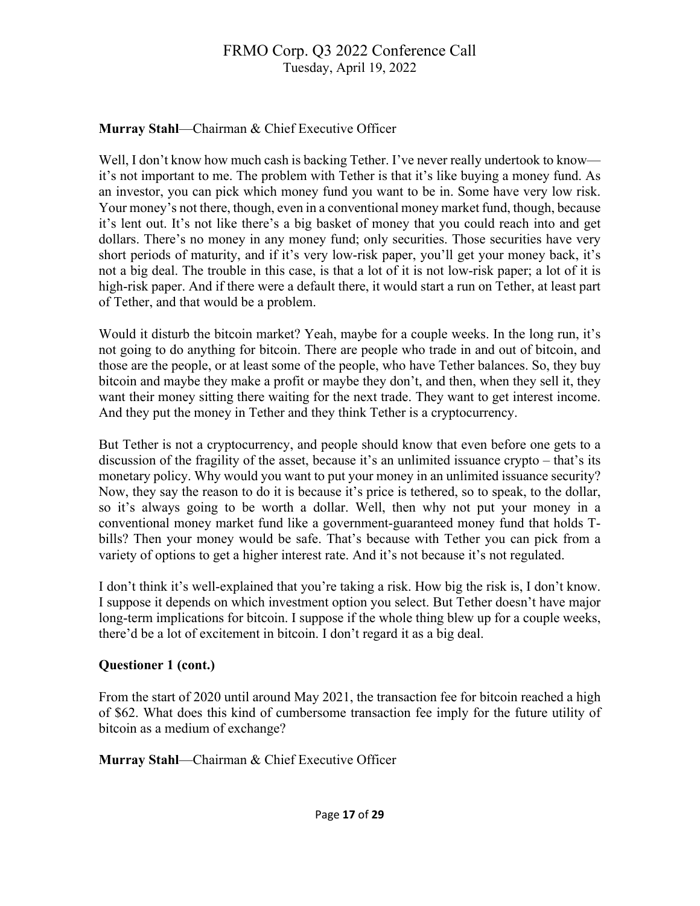## **Murray Stahl**—Chairman & Chief Executive Officer

Well, I don't know how much cash is backing Tether. I've never really undertook to know it's not important to me. The problem with Tether is that it's like buying a money fund. As an investor, you can pick which money fund you want to be in. Some have very low risk. Your money's not there, though, even in a conventional money market fund, though, because it's lent out. It's not like there's a big basket of money that you could reach into and get dollars. There's no money in any money fund; only securities. Those securities have very short periods of maturity, and if it's very low-risk paper, you'll get your money back, it's not a big deal. The trouble in this case, is that a lot of it is not low-risk paper; a lot of it is high-risk paper. And if there were a default there, it would start a run on Tether, at least part of Tether, and that would be a problem.

Would it disturb the bitcoin market? Yeah, maybe for a couple weeks. In the long run, it's not going to do anything for bitcoin. There are people who trade in and out of bitcoin, and those are the people, or at least some of the people, who have Tether balances. So, they buy bitcoin and maybe they make a profit or maybe they don't, and then, when they sell it, they want their money sitting there waiting for the next trade. They want to get interest income. And they put the money in Tether and they think Tether is a cryptocurrency.

But Tether is not a cryptocurrency, and people should know that even before one gets to a discussion of the fragility of the asset, because it's an unlimited issuance crypto – that's its monetary policy. Why would you want to put your money in an unlimited issuance security? Now, they say the reason to do it is because it's price is tethered, so to speak, to the dollar, so it's always going to be worth a dollar. Well, then why not put your money in a conventional money market fund like a government-guaranteed money fund that holds Tbills? Then your money would be safe. That's because with Tether you can pick from a variety of options to get a higher interest rate. And it's not because it's not regulated.

I don't think it's well-explained that you're taking a risk. How big the risk is, I don't know. I suppose it depends on which investment option you select. But Tether doesn't have major long-term implications for bitcoin. I suppose if the whole thing blew up for a couple weeks, there'd be a lot of excitement in bitcoin. I don't regard it as a big deal.

## **Questioner 1 (cont.)**

From the start of 2020 until around May 2021, the transaction fee for bitcoin reached a high of \$62. What does this kind of cumbersome transaction fee imply for the future utility of bitcoin as a medium of exchange?

**Murray Stahl**—Chairman & Chief Executive Officer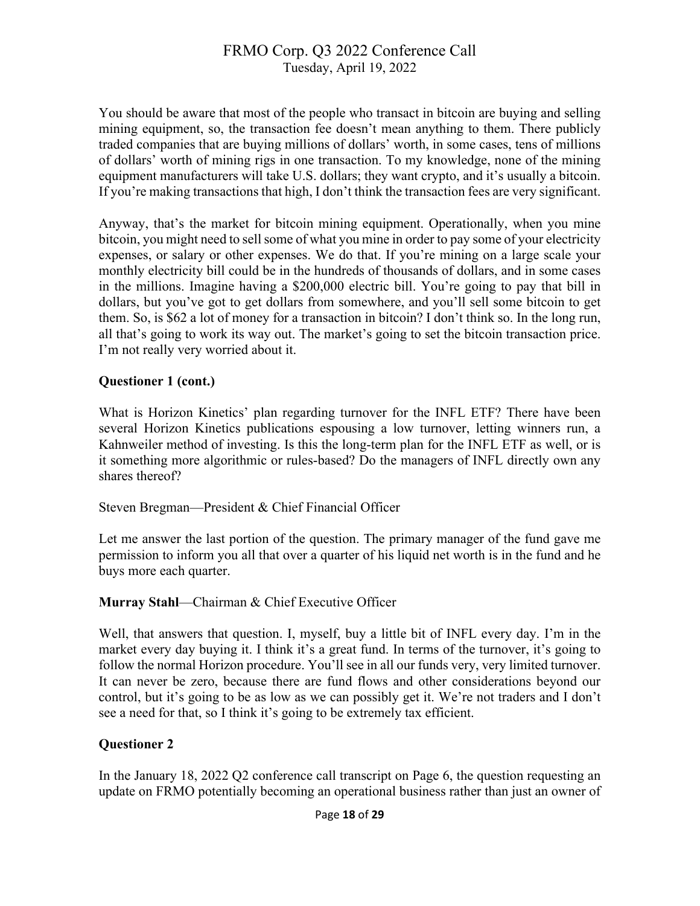You should be aware that most of the people who transact in bitcoin are buying and selling mining equipment, so, the transaction fee doesn't mean anything to them. There publicly traded companies that are buying millions of dollars' worth, in some cases, tens of millions of dollars' worth of mining rigs in one transaction. To my knowledge, none of the mining equipment manufacturers will take U.S. dollars; they want crypto, and it's usually a bitcoin. If you're making transactions that high, I don't think the transaction fees are very significant.

Anyway, that's the market for bitcoin mining equipment. Operationally, when you mine bitcoin, you might need to sell some of what you mine in order to pay some of your electricity expenses, or salary or other expenses. We do that. If you're mining on a large scale your monthly electricity bill could be in the hundreds of thousands of dollars, and in some cases in the millions. Imagine having a \$200,000 electric bill. You're going to pay that bill in dollars, but you've got to get dollars from somewhere, and you'll sell some bitcoin to get them. So, is \$62 a lot of money for a transaction in bitcoin? I don't think so. In the long run, all that's going to work its way out. The market's going to set the bitcoin transaction price. I'm not really very worried about it.

#### **Questioner 1 (cont.)**

What is Horizon Kinetics' plan regarding turnover for the INFL ETF? There have been several Horizon Kinetics publications espousing a low turnover, letting winners run, a Kahnweiler method of investing. Is this the long-term plan for the INFL ETF as well, or is it something more algorithmic or rules-based? Do the managers of INFL directly own any shares thereof?

Steven Bregman—President & Chief Financial Officer

Let me answer the last portion of the question. The primary manager of the fund gave me permission to inform you all that over a quarter of his liquid net worth is in the fund and he buys more each quarter.

#### **Murray Stahl**—Chairman & Chief Executive Officer

Well, that answers that question. I, myself, buy a little bit of INFL every day. I'm in the market every day buying it. I think it's a great fund. In terms of the turnover, it's going to follow the normal Horizon procedure. You'll see in all our funds very, very limited turnover. It can never be zero, because there are fund flows and other considerations beyond our control, but it's going to be as low as we can possibly get it. We're not traders and I don't see a need for that, so I think it's going to be extremely tax efficient.

## **Questioner 2**

In the January 18, 2022 Q2 conference call transcript on Page 6, the question requesting an update on FRMO potentially becoming an operational business rather than just an owner of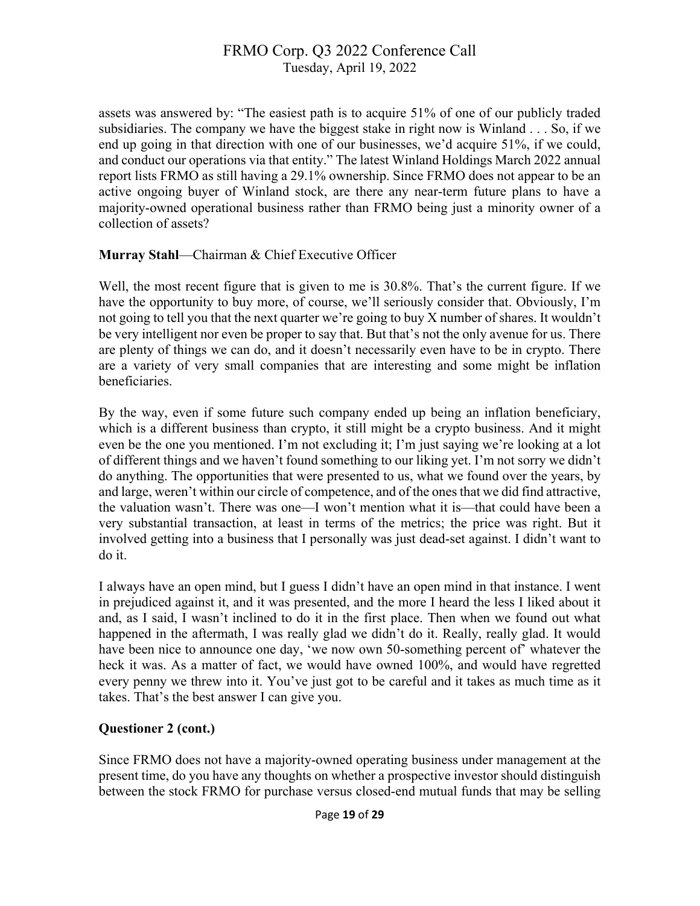assets was answered by: "The easiest path is to acquire 51% of one of our publicly traded subsidiaries. The company we have the biggest stake in right now is Winland . . . So, if we end up going in that direction with one of our businesses, we'd acquire 51%, if we could, and conduct our operations via that entity." The latest Winland Holdings March 2022 annual report lists FRMO as still having a 29.1% ownership. Since FRMO does not appear to be an active ongoing buyer of Winland stock, are there any near-term future plans to have a majority-owned operational business rather than FRMO being just a minority owner of a collection of assets?

#### **Murray Stahl**—Chairman & Chief Executive Officer

Well, the most recent figure that is given to me is 30.8%. That's the current figure. If we have the opportunity to buy more, of course, we'll seriously consider that. Obviously, I'm not going to tell you that the next quarter we're going to buy X number of shares. It wouldn't be very intelligent nor even be proper to say that. But that's not the only avenue for us. There are plenty of things we can do, and it doesn't necessarily even have to be in crypto. There are a variety of very small companies that are interesting and some might be inflation beneficiaries.

By the way, even if some future such company ended up being an inflation beneficiary, which is a different business than crypto, it still might be a crypto business. And it might even be the one you mentioned. I'm not excluding it; I'm just saying we're looking at a lot of different things and we haven't found something to our liking yet. I'm not sorry we didn't do anything. The opportunities that were presented to us, what we found over the years, by and large, weren't within our circle of competence, and of the ones that we did find attractive, the valuation wasn't. There was one—I won't mention what it is—that could have been a very substantial transaction, at least in terms of the metrics; the price was right. But it involved getting into a business that I personally was just dead-set against. I didn't want to do it.

I always have an open mind, but I guess I didn't have an open mind in that instance. I went in prejudiced against it, and it was presented, and the more I heard the less I liked about it and, as I said, I wasn't inclined to do it in the first place. Then when we found out what happened in the aftermath, I was really glad we didn't do it. Really, really glad. It would have been nice to announce one day, 'we now own 50-something percent of' whatever the heck it was. As a matter of fact, we would have owned 100%, and would have regretted every penny we threw into it. You've just got to be careful and it takes as much time as it takes. That's the best answer I can give you.

## **Questioner 2 (cont.)**

Since FRMO does not have a majority-owned operating business under management at the present time, do you have any thoughts on whether a prospective investor should distinguish between the stock FRMO for purchase versus closed-end mutual funds that may be selling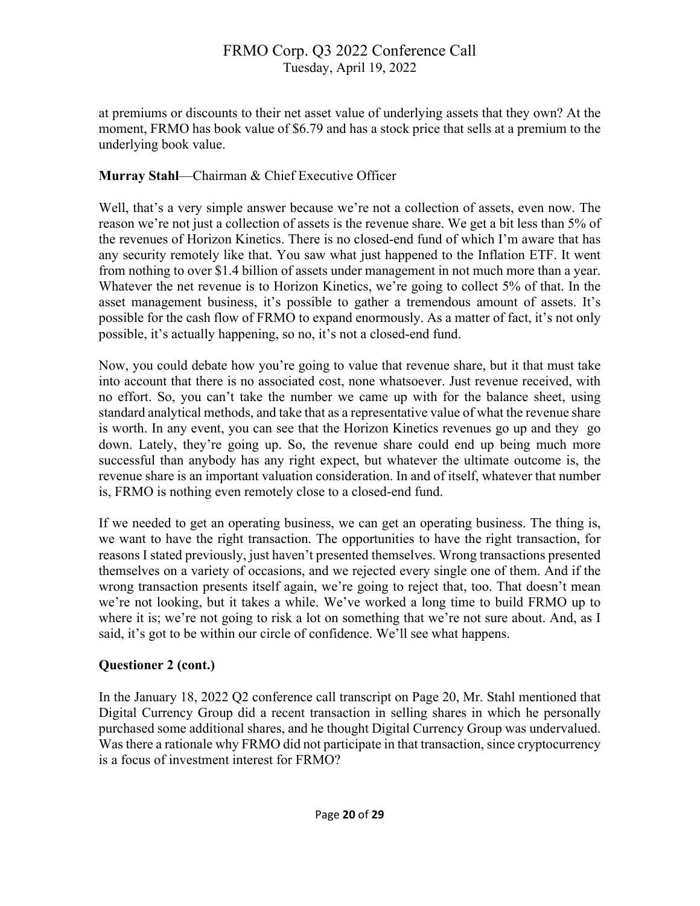at premiums or discounts to their net asset value of underlying assets that they own? At the moment, FRMO has book value of \$6.79 and has a stock price that sells at a premium to the underlying book value.

### **Murray Stahl**—Chairman & Chief Executive Officer

Well, that's a very simple answer because we're not a collection of assets, even now. The reason we're not just a collection of assets is the revenue share. We get a bit less than 5% of the revenues of Horizon Kinetics. There is no closed-end fund of which I'm aware that has any security remotely like that. You saw what just happened to the Inflation ETF. It went from nothing to over \$1.4 billion of assets under management in not much more than a year. Whatever the net revenue is to Horizon Kinetics, we're going to collect 5% of that. In the asset management business, it's possible to gather a tremendous amount of assets. It's possible for the cash flow of FRMO to expand enormously. As a matter of fact, it's not only possible, it's actually happening, so no, it's not a closed-end fund.

Now, you could debate how you're going to value that revenue share, but it that must take into account that there is no associated cost, none whatsoever. Just revenue received, with no effort. So, you can't take the number we came up with for the balance sheet, using standard analytical methods, and take that as a representative value of what the revenue share is worth. In any event, you can see that the Horizon Kinetics revenues go up and they go down. Lately, they're going up. So, the revenue share could end up being much more successful than anybody has any right expect, but whatever the ultimate outcome is, the revenue share is an important valuation consideration. In and of itself, whatever that number is, FRMO is nothing even remotely close to a closed-end fund.

If we needed to get an operating business, we can get an operating business. The thing is, we want to have the right transaction. The opportunities to have the right transaction, for reasons I stated previously, just haven't presented themselves. Wrong transactions presented themselves on a variety of occasions, and we rejected every single one of them. And if the wrong transaction presents itself again, we're going to reject that, too. That doesn't mean we're not looking, but it takes a while. We've worked a long time to build FRMO up to where it is; we're not going to risk a lot on something that we're not sure about. And, as I said, it's got to be within our circle of confidence. We'll see what happens.

## **Questioner 2 (cont.)**

In the January 18, 2022 Q2 conference call transcript on Page 20, Mr. Stahl mentioned that Digital Currency Group did a recent transaction in selling shares in which he personally purchased some additional shares, and he thought Digital Currency Group was undervalued. Was there a rationale why FRMO did not participate in that transaction, since cryptocurrency is a focus of investment interest for FRMO?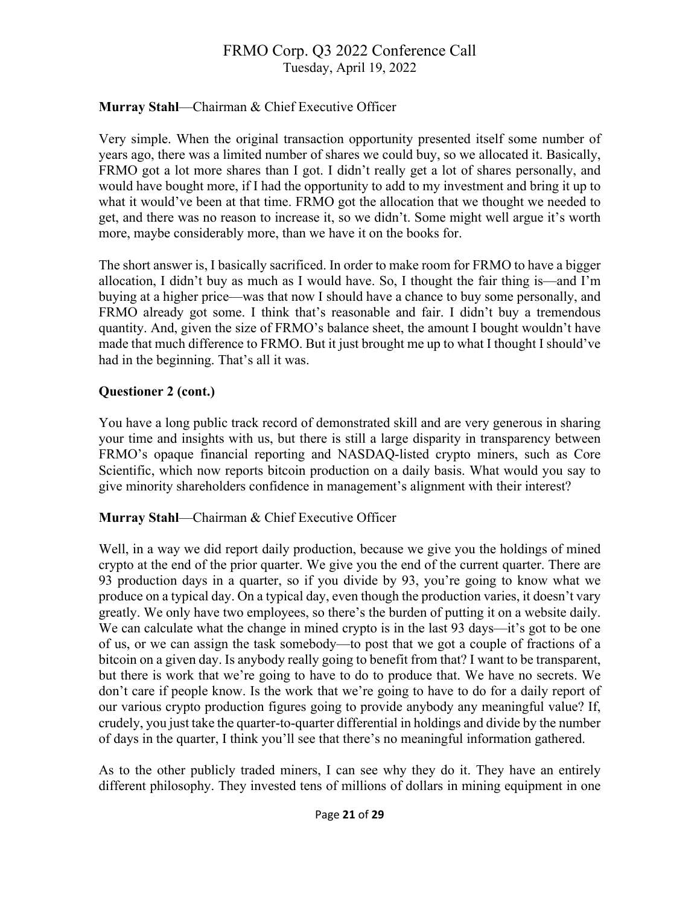## **Murray Stahl**—Chairman & Chief Executive Officer

Very simple. When the original transaction opportunity presented itself some number of years ago, there was a limited number of shares we could buy, so we allocated it. Basically, FRMO got a lot more shares than I got. I didn't really get a lot of shares personally, and would have bought more, if I had the opportunity to add to my investment and bring it up to what it would've been at that time. FRMO got the allocation that we thought we needed to get, and there was no reason to increase it, so we didn't. Some might well argue it's worth more, maybe considerably more, than we have it on the books for.

The short answer is, I basically sacrificed. In order to make room for FRMO to have a bigger allocation, I didn't buy as much as I would have. So, I thought the fair thing is—and I'm buying at a higher price—was that now I should have a chance to buy some personally, and FRMO already got some. I think that's reasonable and fair. I didn't buy a tremendous quantity. And, given the size of FRMO's balance sheet, the amount I bought wouldn't have made that much difference to FRMO. But it just brought me up to what I thought I should've had in the beginning. That's all it was.

## **Questioner 2 (cont.)**

You have a long public track record of demonstrated skill and are very generous in sharing your time and insights with us, but there is still a large disparity in transparency between FRMO's opaque financial reporting and NASDAQ-listed crypto miners, such as Core Scientific, which now reports bitcoin production on a daily basis. What would you say to give minority shareholders confidence in management's alignment with their interest?

## **Murray Stahl**—Chairman & Chief Executive Officer

Well, in a way we did report daily production, because we give you the holdings of mined crypto at the end of the prior quarter. We give you the end of the current quarter. There are 93 production days in a quarter, so if you divide by 93, you're going to know what we produce on a typical day. On a typical day, even though the production varies, it doesn't vary greatly. We only have two employees, so there's the burden of putting it on a website daily. We can calculate what the change in mined crypto is in the last 93 days—it's got to be one of us, or we can assign the task somebody—to post that we got a couple of fractions of a bitcoin on a given day. Is anybody really going to benefit from that? I want to be transparent, but there is work that we're going to have to do to produce that. We have no secrets. We don't care if people know. Is the work that we're going to have to do for a daily report of our various crypto production figures going to provide anybody any meaningful value? If, crudely, you just take the quarter-to-quarter differential in holdings and divide by the number of days in the quarter, I think you'll see that there's no meaningful information gathered.

As to the other publicly traded miners, I can see why they do it. They have an entirely different philosophy. They invested tens of millions of dollars in mining equipment in one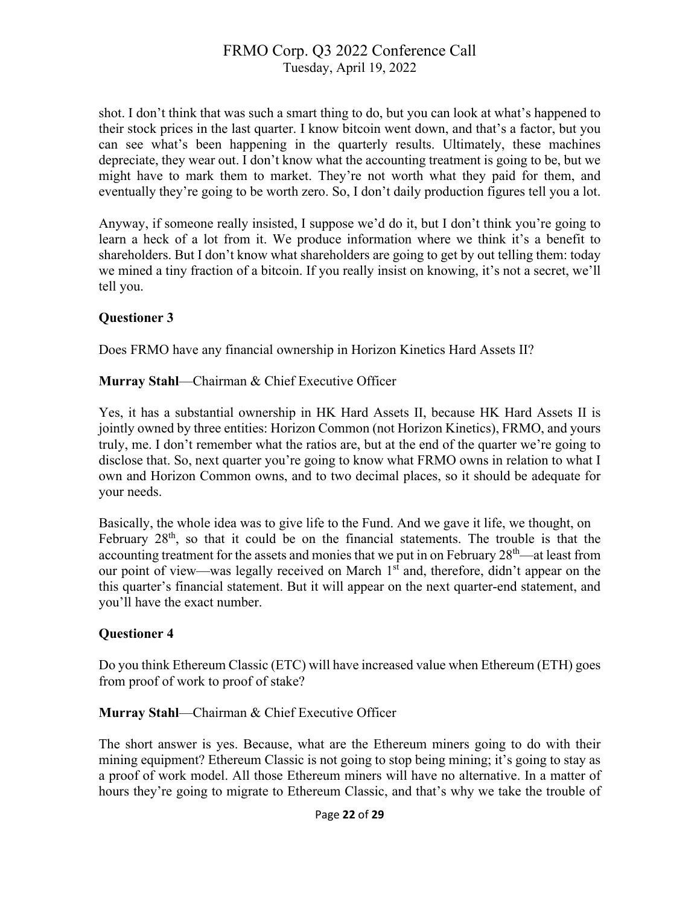shot. I don't think that was such a smart thing to do, but you can look at what's happened to their stock prices in the last quarter. I know bitcoin went down, and that's a factor, but you can see what's been happening in the quarterly results. Ultimately, these machines depreciate, they wear out. I don't know what the accounting treatment is going to be, but we might have to mark them to market. They're not worth what they paid for them, and eventually they're going to be worth zero. So, I don't daily production figures tell you a lot.

Anyway, if someone really insisted, I suppose we'd do it, but I don't think you're going to learn a heck of a lot from it. We produce information where we think it's a benefit to shareholders. But I don't know what shareholders are going to get by out telling them: today we mined a tiny fraction of a bitcoin. If you really insist on knowing, it's not a secret, we'll tell you.

#### **Questioner 3**

Does FRMO have any financial ownership in Horizon Kinetics Hard Assets II?

**Murray Stahl**—Chairman & Chief Executive Officer

Yes, it has a substantial ownership in HK Hard Assets II, because HK Hard Assets II is jointly owned by three entities: Horizon Common (not Horizon Kinetics), FRMO, and yours truly, me. I don't remember what the ratios are, but at the end of the quarter we're going to disclose that. So, next quarter you're going to know what FRMO owns in relation to what I own and Horizon Common owns, and to two decimal places, so it should be adequate for your needs.

Basically, the whole idea was to give life to the Fund. And we gave it life, we thought, on February  $28<sup>th</sup>$ , so that it could be on the financial statements. The trouble is that the accounting treatment for the assets and monies that we put in on February 28<sup>th</sup>—at least from our point of view—was legally received on March 1<sup>st</sup> and, therefore, didn't appear on the this quarter's financial statement. But it will appear on the next quarter-end statement, and you'll have the exact number.

## **Questioner 4**

Do you think Ethereum Classic (ETC) will have increased value when Ethereum (ETH) goes from proof of work to proof of stake?

#### **Murray Stahl**—Chairman & Chief Executive Officer

The short answer is yes. Because, what are the Ethereum miners going to do with their mining equipment? Ethereum Classic is not going to stop being mining; it's going to stay as a proof of work model. All those Ethereum miners will have no alternative. In a matter of hours they're going to migrate to Ethereum Classic, and that's why we take the trouble of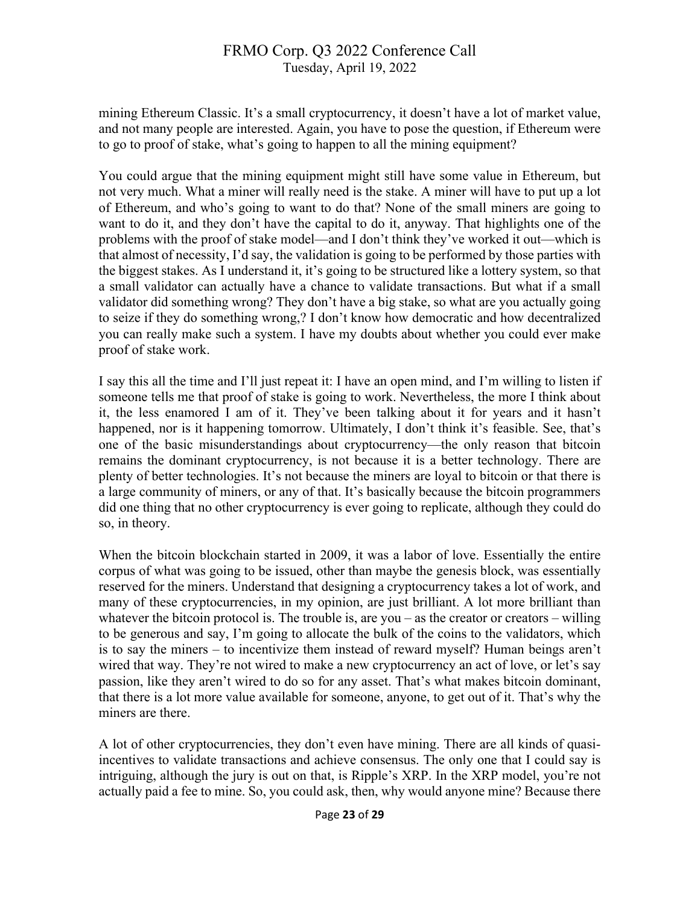mining Ethereum Classic. It's a small cryptocurrency, it doesn't have a lot of market value, and not many people are interested. Again, you have to pose the question, if Ethereum were to go to proof of stake, what's going to happen to all the mining equipment?

You could argue that the mining equipment might still have some value in Ethereum, but not very much. What a miner will really need is the stake. A miner will have to put up a lot of Ethereum, and who's going to want to do that? None of the small miners are going to want to do it, and they don't have the capital to do it, anyway. That highlights one of the problems with the proof of stake model—and I don't think they've worked it out—which is that almost of necessity, I'd say, the validation is going to be performed by those parties with the biggest stakes. As I understand it, it's going to be structured like a lottery system, so that a small validator can actually have a chance to validate transactions. But what if a small validator did something wrong? They don't have a big stake, so what are you actually going to seize if they do something wrong,? I don't know how democratic and how decentralized you can really make such a system. I have my doubts about whether you could ever make proof of stake work.

I say this all the time and I'll just repeat it: I have an open mind, and I'm willing to listen if someone tells me that proof of stake is going to work. Nevertheless, the more I think about it, the less enamored I am of it. They've been talking about it for years and it hasn't happened, nor is it happening tomorrow. Ultimately, I don't think it's feasible. See, that's one of the basic misunderstandings about cryptocurrency—the only reason that bitcoin remains the dominant cryptocurrency, is not because it is a better technology. There are plenty of better technologies. It's not because the miners are loyal to bitcoin or that there is a large community of miners, or any of that. It's basically because the bitcoin programmers did one thing that no other cryptocurrency is ever going to replicate, although they could do so, in theory.

When the bitcoin blockchain started in 2009, it was a labor of love. Essentially the entire corpus of what was going to be issued, other than maybe the genesis block, was essentially reserved for the miners. Understand that designing a cryptocurrency takes a lot of work, and many of these cryptocurrencies, in my opinion, are just brilliant. A lot more brilliant than whatever the bitcoin protocol is. The trouble is, are you – as the creator or creators – willing to be generous and say, I'm going to allocate the bulk of the coins to the validators, which is to say the miners – to incentivize them instead of reward myself? Human beings aren't wired that way. They're not wired to make a new cryptocurrency an act of love, or let's say passion, like they aren't wired to do so for any asset. That's what makes bitcoin dominant, that there is a lot more value available for someone, anyone, to get out of it. That's why the miners are there.

A lot of other cryptocurrencies, they don't even have mining. There are all kinds of quasiincentives to validate transactions and achieve consensus. The only one that I could say is intriguing, although the jury is out on that, is Ripple's XRP. In the XRP model, you're not actually paid a fee to mine. So, you could ask, then, why would anyone mine? Because there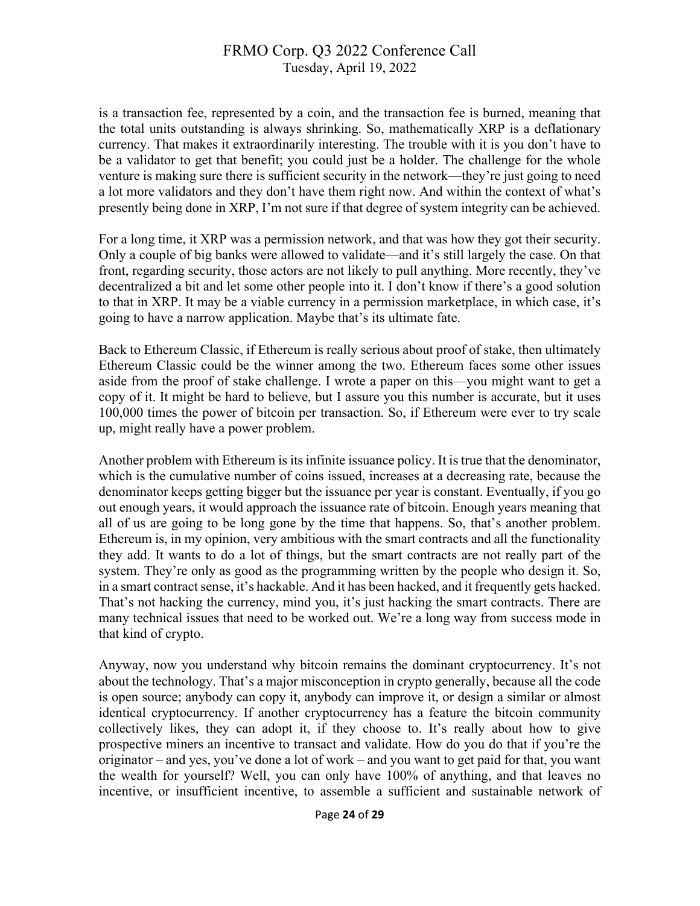is a transaction fee, represented by a coin, and the transaction fee is burned, meaning that the total units outstanding is always shrinking. So, mathematically XRP is a deflationary currency. That makes it extraordinarily interesting. The trouble with it is you don't have to be a validator to get that benefit; you could just be a holder. The challenge for the whole venture is making sure there is sufficient security in the network—they're just going to need a lot more validators and they don't have them right now. And within the context of what's presently being done in XRP, I'm not sure if that degree of system integrity can be achieved.

For a long time, it XRP was a permission network, and that was how they got their security. Only a couple of big banks were allowed to validate—and it's still largely the case. On that front, regarding security, those actors are not likely to pull anything. More recently, they've decentralized a bit and let some other people into it. I don't know if there's a good solution to that in XRP. It may be a viable currency in a permission marketplace, in which case, it's going to have a narrow application. Maybe that's its ultimate fate.

Back to Ethereum Classic, if Ethereum is really serious about proof of stake, then ultimately Ethereum Classic could be the winner among the two. Ethereum faces some other issues aside from the proof of stake challenge. I wrote a paper on this—you might want to get a copy of it. It might be hard to believe, but I assure you this number is accurate, but it uses 100,000 times the power of bitcoin per transaction. So, if Ethereum were ever to try scale up, might really have a power problem.

Another problem with Ethereum is its infinite issuance policy. It is true that the denominator, which is the cumulative number of coins issued, increases at a decreasing rate, because the denominator keeps getting bigger but the issuance per year is constant. Eventually, if you go out enough years, it would approach the issuance rate of bitcoin. Enough years meaning that all of us are going to be long gone by the time that happens. So, that's another problem. Ethereum is, in my opinion, very ambitious with the smart contracts and all the functionality they add. It wants to do a lot of things, but the smart contracts are not really part of the system. They're only as good as the programming written by the people who design it. So, in a smart contract sense, it's hackable. And it has been hacked, and it frequently gets hacked. That's not hacking the currency, mind you, it's just hacking the smart contracts. There are many technical issues that need to be worked out. We're a long way from success mode in that kind of crypto.

Anyway, now you understand why bitcoin remains the dominant cryptocurrency. It's not about the technology. That's a major misconception in crypto generally, because all the code is open source; anybody can copy it, anybody can improve it, or design a similar or almost identical cryptocurrency. If another cryptocurrency has a feature the bitcoin community collectively likes, they can adopt it, if they choose to. It's really about how to give prospective miners an incentive to transact and validate. How do you do that if you're the originator – and yes, you've done a lot of work – and you want to get paid for that, you want the wealth for yourself? Well, you can only have 100% of anything, and that leaves no incentive, or insufficient incentive, to assemble a sufficient and sustainable network of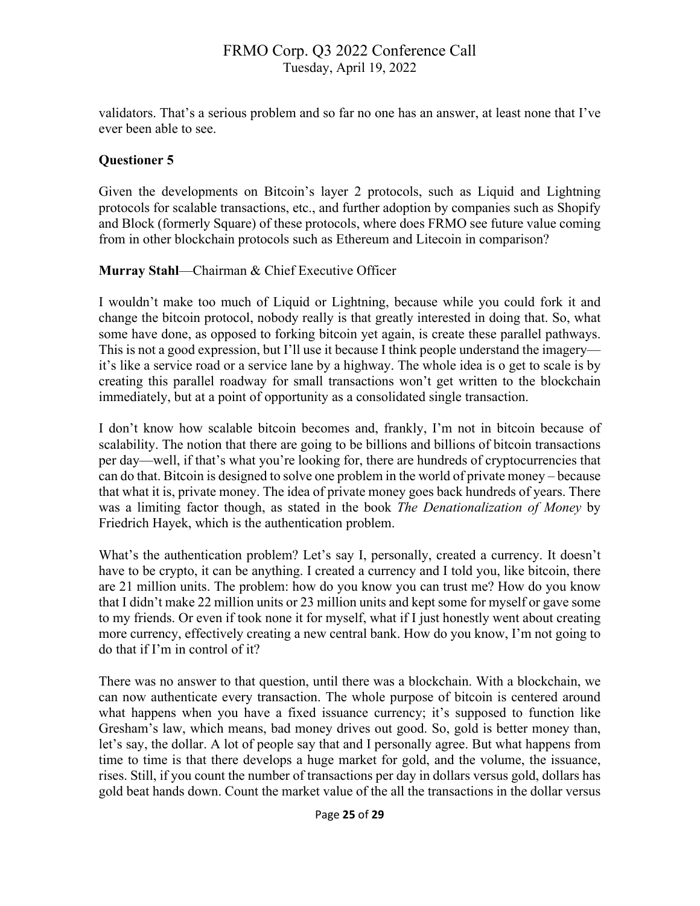validators. That's a serious problem and so far no one has an answer, at least none that I've ever been able to see.

### **Questioner 5**

Given the developments on Bitcoin's layer 2 protocols, such as Liquid and Lightning protocols for scalable transactions, etc., and further adoption by companies such as Shopify and Block (formerly Square) of these protocols, where does FRMO see future value coming from in other blockchain protocols such as Ethereum and Litecoin in comparison?

#### **Murray Stahl**—Chairman & Chief Executive Officer

I wouldn't make too much of Liquid or Lightning, because while you could fork it and change the bitcoin protocol, nobody really is that greatly interested in doing that. So, what some have done, as opposed to forking bitcoin yet again, is create these parallel pathways. This is not a good expression, but I'll use it because I think people understand the imagery it's like a service road or a service lane by a highway. The whole idea is o get to scale is by creating this parallel roadway for small transactions won't get written to the blockchain immediately, but at a point of opportunity as a consolidated single transaction.

I don't know how scalable bitcoin becomes and, frankly, I'm not in bitcoin because of scalability. The notion that there are going to be billions and billions of bitcoin transactions per day—well, if that's what you're looking for, there are hundreds of cryptocurrencies that can do that. Bitcoin is designed to solve one problem in the world of private money – because that what it is, private money. The idea of private money goes back hundreds of years. There was a limiting factor though, as stated in the book *The Denationalization of Money* by Friedrich Hayek, which is the authentication problem.

What's the authentication problem? Let's say I, personally, created a currency. It doesn't have to be crypto, it can be anything. I created a currency and I told you, like bitcoin, there are 21 million units. The problem: how do you know you can trust me? How do you know that I didn't make 22 million units or 23 million units and kept some for myself or gave some to my friends. Or even if took none it for myself, what if I just honestly went about creating more currency, effectively creating a new central bank. How do you know, I'm not going to do that if I'm in control of it?

There was no answer to that question, until there was a blockchain. With a blockchain, we can now authenticate every transaction. The whole purpose of bitcoin is centered around what happens when you have a fixed issuance currency; it's supposed to function like Gresham's law, which means, bad money drives out good. So, gold is better money than, let's say, the dollar. A lot of people say that and I personally agree. But what happens from time to time is that there develops a huge market for gold, and the volume, the issuance, rises. Still, if you count the number of transactions per day in dollars versus gold, dollars has gold beat hands down. Count the market value of the all the transactions in the dollar versus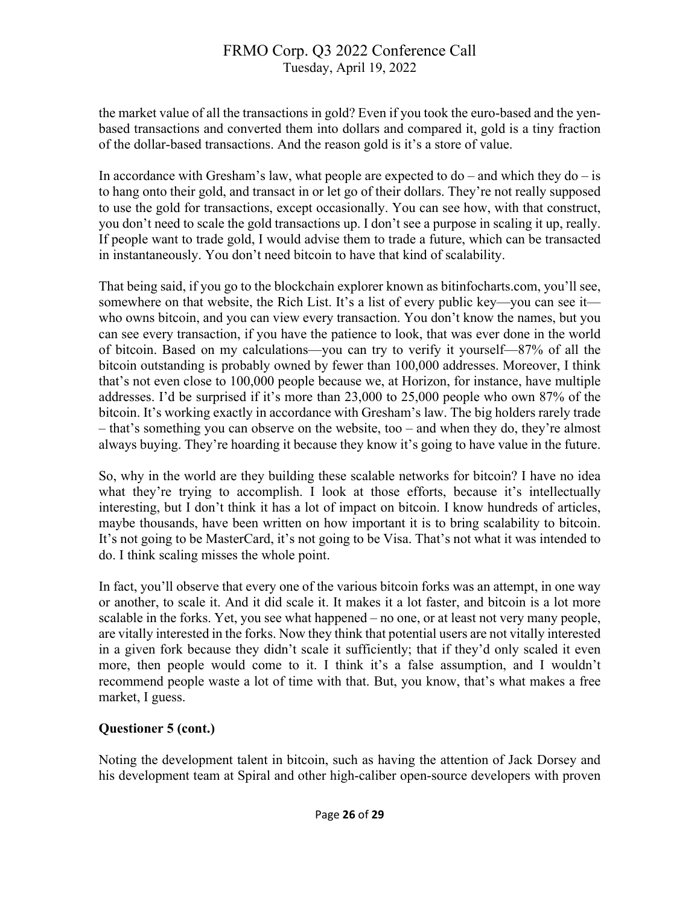the market value of all the transactions in gold? Even if you took the euro-based and the yenbased transactions and converted them into dollars and compared it, gold is a tiny fraction of the dollar-based transactions. And the reason gold is it's a store of value.

In accordance with Gresham's law, what people are expected to  $do$  – and which they  $do$  – is to hang onto their gold, and transact in or let go of their dollars. They're not really supposed to use the gold for transactions, except occasionally. You can see how, with that construct, you don't need to scale the gold transactions up. I don't see a purpose in scaling it up, really. If people want to trade gold, I would advise them to trade a future, which can be transacted in instantaneously. You don't need bitcoin to have that kind of scalability.

That being said, if you go to the blockchain explorer known as bitinfocharts.com, you'll see, somewhere on that website, the Rich List. It's a list of every public key—you can see it who owns bitcoin, and you can view every transaction. You don't know the names, but you can see every transaction, if you have the patience to look, that was ever done in the world of bitcoin. Based on my calculations—you can try to verify it yourself—87% of all the bitcoin outstanding is probably owned by fewer than 100,000 addresses. Moreover, I think that's not even close to 100,000 people because we, at Horizon, for instance, have multiple addresses. I'd be surprised if it's more than 23,000 to 25,000 people who own 87% of the bitcoin. It's working exactly in accordance with Gresham's law. The big holders rarely trade – that's something you can observe on the website, too – and when they do, they're almost always buying. They're hoarding it because they know it's going to have value in the future.

So, why in the world are they building these scalable networks for bitcoin? I have no idea what they're trying to accomplish. I look at those efforts, because it's intellectually interesting, but I don't think it has a lot of impact on bitcoin. I know hundreds of articles, maybe thousands, have been written on how important it is to bring scalability to bitcoin. It's not going to be MasterCard, it's not going to be Visa. That's not what it was intended to do. I think scaling misses the whole point.

In fact, you'll observe that every one of the various bitcoin forks was an attempt, in one way or another, to scale it. And it did scale it. It makes it a lot faster, and bitcoin is a lot more scalable in the forks. Yet, you see what happened – no one, or at least not very many people, are vitally interested in the forks. Now they think that potential users are not vitally interested in a given fork because they didn't scale it sufficiently; that if they'd only scaled it even more, then people would come to it. I think it's a false assumption, and I wouldn't recommend people waste a lot of time with that. But, you know, that's what makes a free market, I guess.

## **Questioner 5 (cont.)**

Noting the development talent in bitcoin, such as having the attention of Jack Dorsey and his development team at Spiral and other high-caliber open-source developers with proven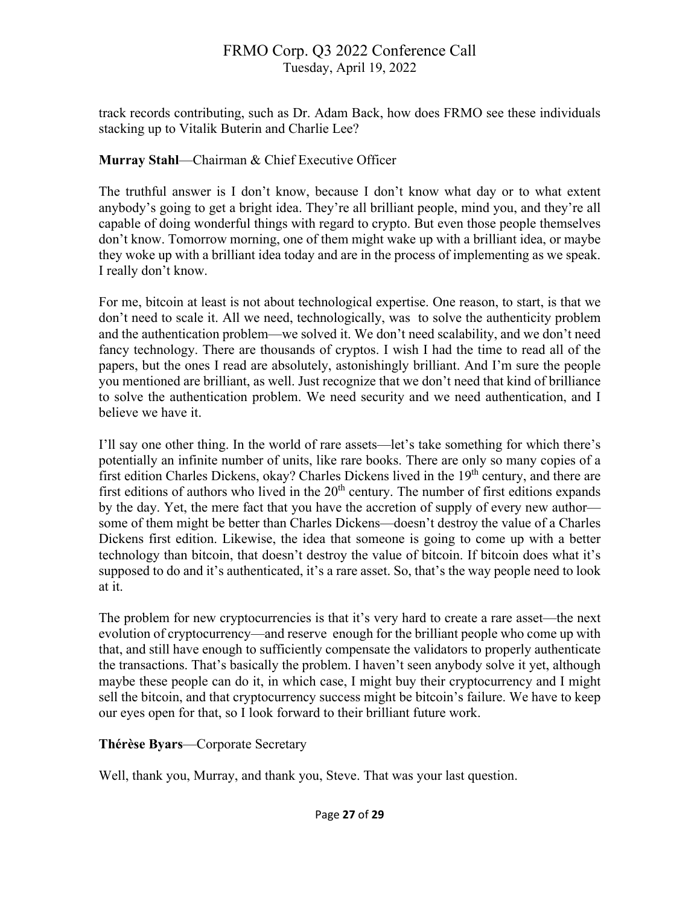track records contributing, such as Dr. Adam Back, how does FRMO see these individuals stacking up to Vitalik Buterin and Charlie Lee?

## **Murray Stahl**—Chairman & Chief Executive Officer

The truthful answer is I don't know, because I don't know what day or to what extent anybody's going to get a bright idea. They're all brilliant people, mind you, and they're all capable of doing wonderful things with regard to crypto. But even those people themselves don't know. Tomorrow morning, one of them might wake up with a brilliant idea, or maybe they woke up with a brilliant idea today and are in the process of implementing as we speak. I really don't know.

For me, bitcoin at least is not about technological expertise. One reason, to start, is that we don't need to scale it. All we need, technologically, was to solve the authenticity problem and the authentication problem—we solved it. We don't need scalability, and we don't need fancy technology. There are thousands of cryptos. I wish I had the time to read all of the papers, but the ones I read are absolutely, astonishingly brilliant. And I'm sure the people you mentioned are brilliant, as well. Just recognize that we don't need that kind of brilliance to solve the authentication problem. We need security and we need authentication, and I believe we have it.

I'll say one other thing. In the world of rare assets—let's take something for which there's potentially an infinite number of units, like rare books. There are only so many copies of a first edition Charles Dickens, okay? Charles Dickens lived in the 19<sup>th</sup> century, and there are first editions of authors who lived in the  $20<sup>th</sup>$  century. The number of first editions expands by the day. Yet, the mere fact that you have the accretion of supply of every new author some of them might be better than Charles Dickens—doesn't destroy the value of a Charles Dickens first edition. Likewise, the idea that someone is going to come up with a better technology than bitcoin, that doesn't destroy the value of bitcoin. If bitcoin does what it's supposed to do and it's authenticated, it's a rare asset. So, that's the way people need to look at it.

The problem for new cryptocurrencies is that it's very hard to create a rare asset—the next evolution of cryptocurrency—and reserve enough for the brilliant people who come up with that, and still have enough to sufficiently compensate the validators to properly authenticate the transactions. That's basically the problem. I haven't seen anybody solve it yet, although maybe these people can do it, in which case, I might buy their cryptocurrency and I might sell the bitcoin, and that cryptocurrency success might be bitcoin's failure. We have to keep our eyes open for that, so I look forward to their brilliant future work.

## **Thérèse Byars**—Corporate Secretary

Well, thank you, Murray, and thank you, Steve. That was your last question.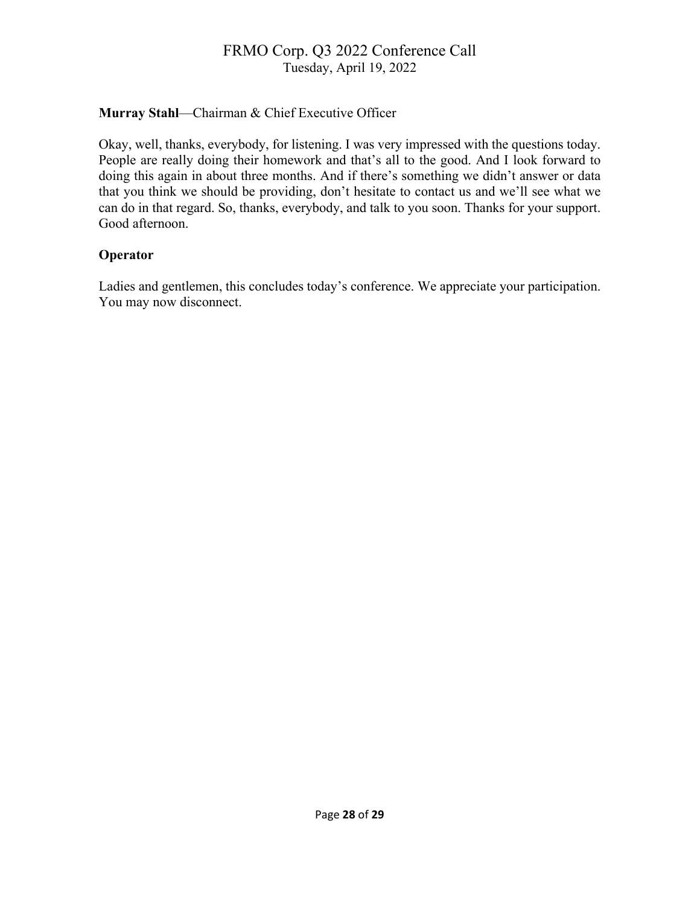## **Murray Stahl**—Chairman & Chief Executive Officer

Okay, well, thanks, everybody, for listening. I was very impressed with the questions today. People are really doing their homework and that's all to the good. And I look forward to doing this again in about three months. And if there's something we didn't answer or data that you think we should be providing, don't hesitate to contact us and we'll see what we can do in that regard. So, thanks, everybody, and talk to you soon. Thanks for your support. Good afternoon.

#### **Operator**

Ladies and gentlemen, this concludes today's conference. We appreciate your participation. You may now disconnect.